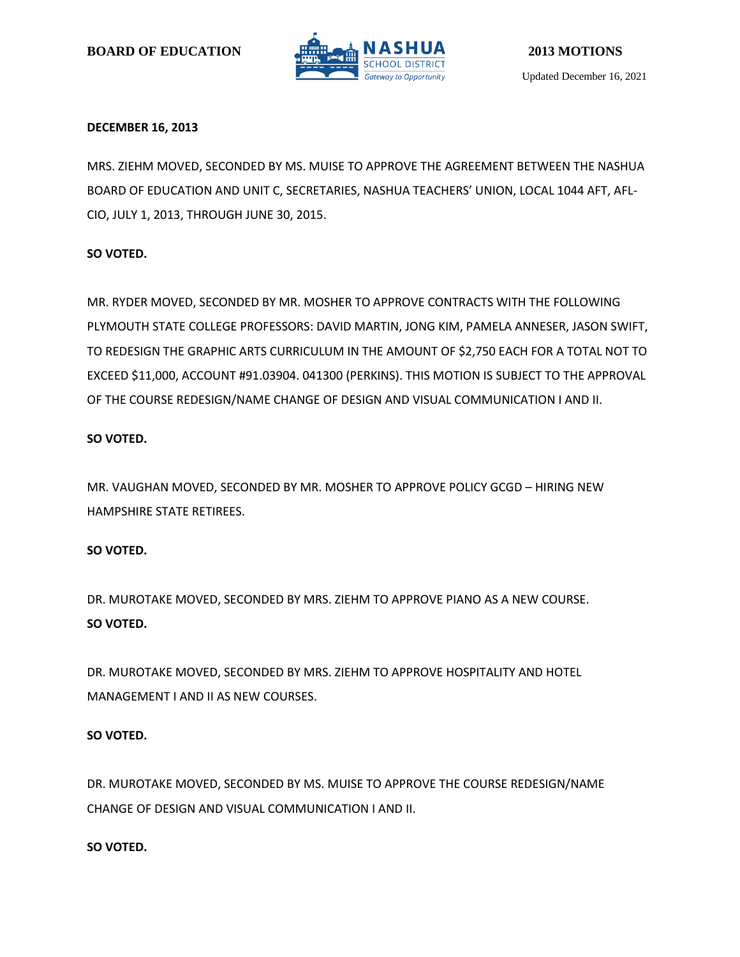

# **DECEMBER 16, 2013**

MRS. ZIEHM MOVED, SECONDED BY MS. MUISE TO APPROVE THE AGREEMENT BETWEEN THE NASHUA BOARD OF EDUCATION AND UNIT C, SECRETARIES, NASHUA TEACHERS' UNION, LOCAL 1044 AFT, AFL-CIO, JULY 1, 2013, THROUGH JUNE 30, 2015.

# **SO VOTED.**

MR. RYDER MOVED, SECONDED BY MR. MOSHER TO APPROVE CONTRACTS WITH THE FOLLOWING PLYMOUTH STATE COLLEGE PROFESSORS: DAVID MARTIN, JONG KIM, PAMELA ANNESER, JASON SWIFT, TO REDESIGN THE GRAPHIC ARTS CURRICULUM IN THE AMOUNT OF \$2,750 EACH FOR A TOTAL NOT TO EXCEED \$11,000, ACCOUNT #91.03904. 041300 (PERKINS). THIS MOTION IS SUBJECT TO THE APPROVAL OF THE COURSE REDESIGN/NAME CHANGE OF DESIGN AND VISUAL COMMUNICATION I AND II.

# **SO VOTED.**

MR. VAUGHAN MOVED, SECONDED BY MR. MOSHER TO APPROVE POLICY GCGD – HIRING NEW HAMPSHIRE STATE RETIREES.

# **SO VOTED.**

DR. MUROTAKE MOVED, SECONDED BY MRS. ZIEHM TO APPROVE PIANO AS A NEW COURSE. **SO VOTED.**

DR. MUROTAKE MOVED, SECONDED BY MRS. ZIEHM TO APPROVE HOSPITALITY AND HOTEL MANAGEMENT I AND II AS NEW COURSES.

# **SO VOTED.**

DR. MUROTAKE MOVED, SECONDED BY MS. MUISE TO APPROVE THE COURSE REDESIGN/NAME CHANGE OF DESIGN AND VISUAL COMMUNICATION I AND II.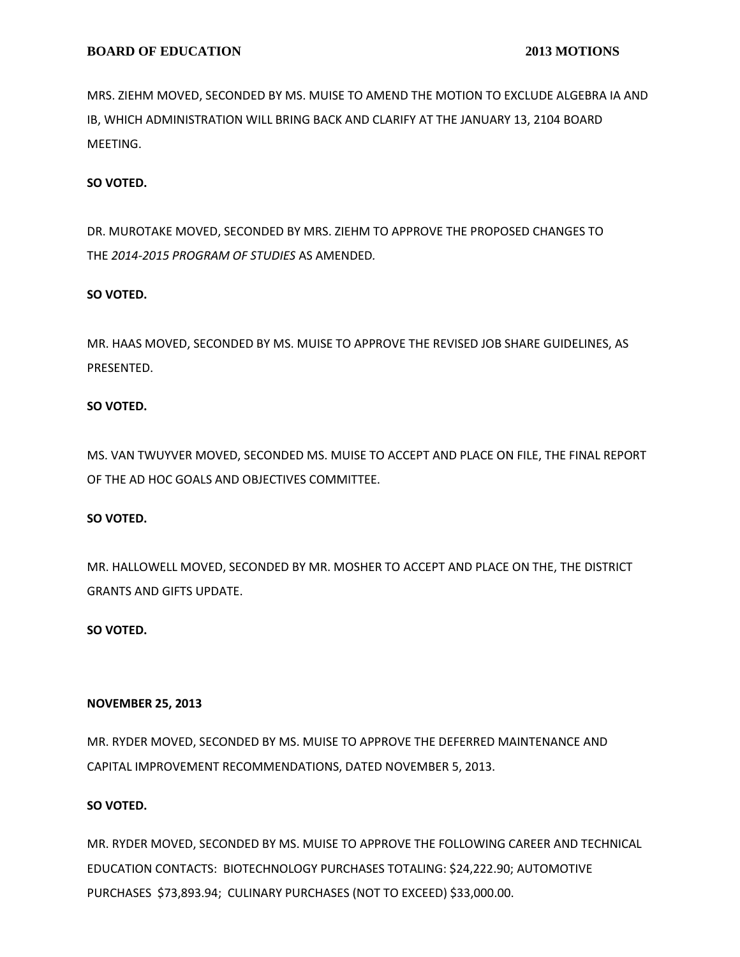MRS. ZIEHM MOVED, SECONDED BY MS. MUISE TO AMEND THE MOTION TO EXCLUDE ALGEBRA IA AND IB, WHICH ADMINISTRATION WILL BRING BACK AND CLARIFY AT THE JANUARY 13, 2104 BOARD MEETING.

# **SO VOTED.**

DR. MUROTAKE MOVED, SECONDED BY MRS. ZIEHM TO APPROVE THE PROPOSED CHANGES TO THE *2014-2015 PROGRAM OF STUDIES* AS AMENDED*.*

### **SO VOTED.**

MR. HAAS MOVED, SECONDED BY MS. MUISE TO APPROVE THE REVISED JOB SHARE GUIDELINES, AS PRESENTED.

# **SO VOTED.**

MS. VAN TWUYVER MOVED, SECONDED MS. MUISE TO ACCEPT AND PLACE ON FILE, THE FINAL REPORT OF THE AD HOC GOALS AND OBJECTIVES COMMITTEE.

# **SO VOTED.**

MR. HALLOWELL MOVED, SECONDED BY MR. MOSHER TO ACCEPT AND PLACE ON THE, THE DISTRICT GRANTS AND GIFTS UPDATE.

#### **SO VOTED.**

#### **NOVEMBER 25, 2013**

MR. RYDER MOVED, SECONDED BY MS. MUISE TO APPROVE THE DEFERRED MAINTENANCE AND CAPITAL IMPROVEMENT RECOMMENDATIONS, DATED NOVEMBER 5, 2013.

# **SO VOTED.**

MR. RYDER MOVED, SECONDED BY MS. MUISE TO APPROVE THE FOLLOWING CAREER AND TECHNICAL EDUCATION CONTACTS: BIOTECHNOLOGY PURCHASES TOTALING: \$24,222.90; AUTOMOTIVE PURCHASES \$73,893.94; CULINARY PURCHASES (NOT TO EXCEED) \$33,000.00.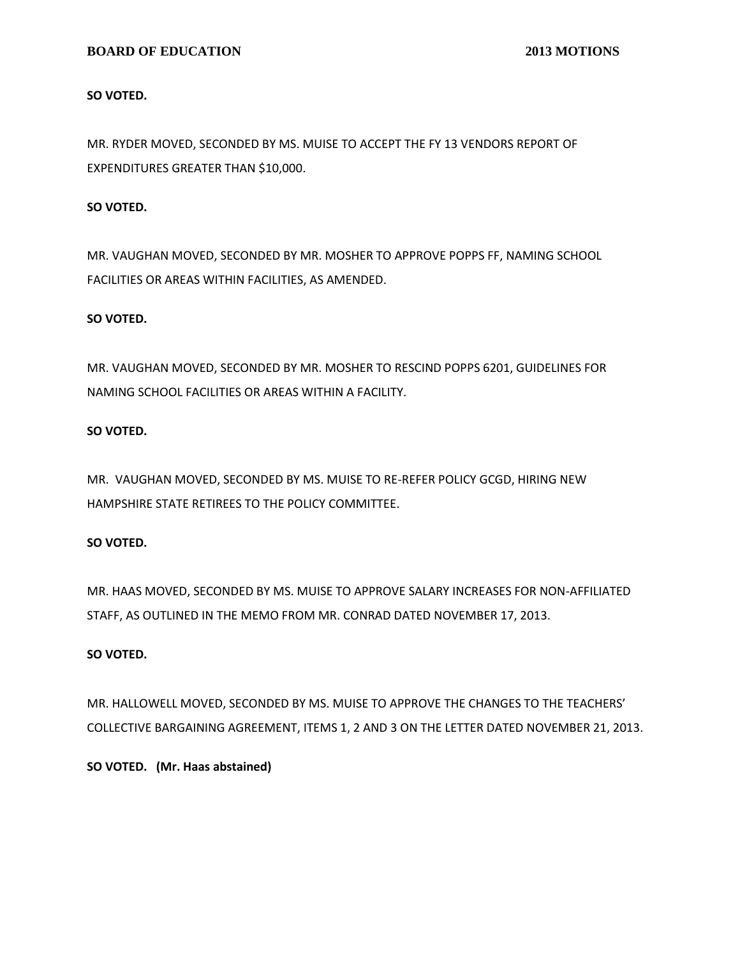**SO VOTED.**

MR. RYDER MOVED, SECONDED BY MS. MUISE TO ACCEPT THE FY 13 VENDORS REPORT OF EXPENDITURES GREATER THAN \$10,000.

## **SO VOTED.**

MR. VAUGHAN MOVED, SECONDED BY MR. MOSHER TO APPROVE POPPS FF, NAMING SCHOOL FACILITIES OR AREAS WITHIN FACILITIES, AS AMENDED.

### **SO VOTED.**

MR. VAUGHAN MOVED, SECONDED BY MR. MOSHER TO RESCIND POPPS 6201, GUIDELINES FOR NAMING SCHOOL FACILITIES OR AREAS WITHIN A FACILITY.

### **SO VOTED.**

MR. VAUGHAN MOVED, SECONDED BY MS. MUISE TO RE-REFER POLICY GCGD, HIRING NEW HAMPSHIRE STATE RETIREES TO THE POLICY COMMITTEE.

# **SO VOTED.**

MR. HAAS MOVED, SECONDED BY MS. MUISE TO APPROVE SALARY INCREASES FOR NON-AFFILIATED STAFF, AS OUTLINED IN THE MEMO FROM MR. CONRAD DATED NOVEMBER 17, 2013.

# **SO VOTED.**

MR. HALLOWELL MOVED, SECONDED BY MS. MUISE TO APPROVE THE CHANGES TO THE TEACHERS' COLLECTIVE BARGAINING AGREEMENT, ITEMS 1, 2 AND 3 ON THE LETTER DATED NOVEMBER 21, 2013.

**SO VOTED. (Mr. Haas abstained)**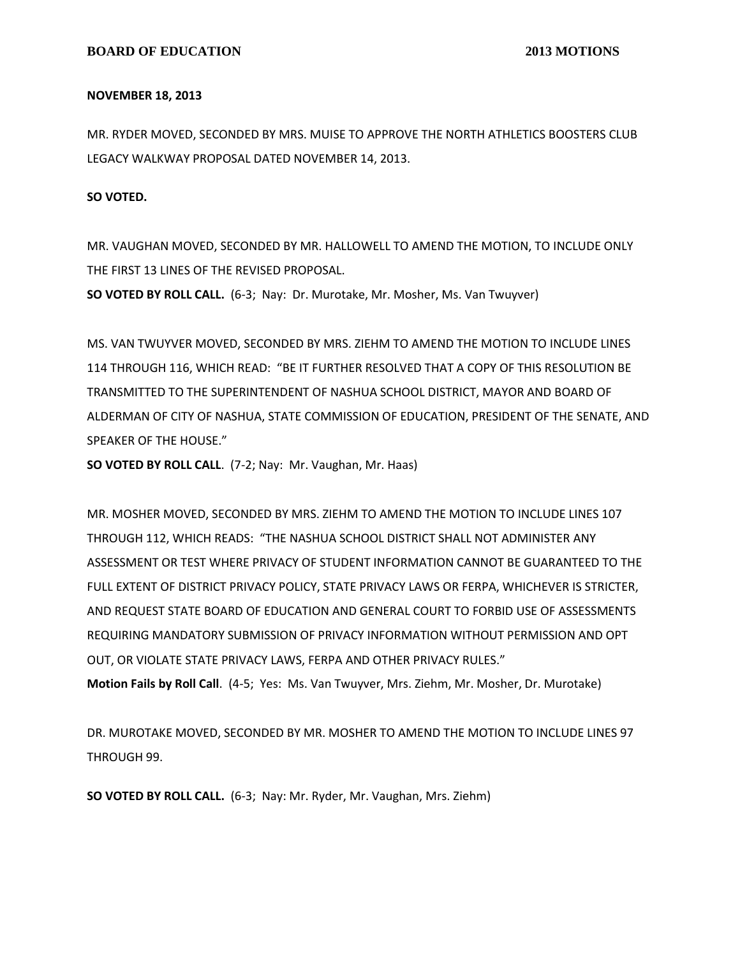#### **NOVEMBER 18, 2013**

MR. RYDER MOVED, SECONDED BY MRS. MUISE TO APPROVE THE NORTH ATHLETICS BOOSTERS CLUB LEGACY WALKWAY PROPOSAL DATED NOVEMBER 14, 2013.

**SO VOTED.**

MR. VAUGHAN MOVED, SECONDED BY MR. HALLOWELL TO AMEND THE MOTION, TO INCLUDE ONLY THE FIRST 13 LINES OF THE REVISED PROPOSAL.

**SO VOTED BY ROLL CALL.** (6-3; Nay: Dr. Murotake, Mr. Mosher, Ms. Van Twuyver)

MS. VAN TWUYVER MOVED, SECONDED BY MRS. ZIEHM TO AMEND THE MOTION TO INCLUDE LINES 114 THROUGH 116, WHICH READ: "BE IT FURTHER RESOLVED THAT A COPY OF THIS RESOLUTION BE TRANSMITTED TO THE SUPERINTENDENT OF NASHUA SCHOOL DISTRICT, MAYOR AND BOARD OF ALDERMAN OF CITY OF NASHUA, STATE COMMISSION OF EDUCATION, PRESIDENT OF THE SENATE, AND SPEAKER OF THE HOUSE."

**SO VOTED BY ROLL CALL**. (7-2; Nay: Mr. Vaughan, Mr. Haas)

MR. MOSHER MOVED, SECONDED BY MRS. ZIEHM TO AMEND THE MOTION TO INCLUDE LINES 107 THROUGH 112, WHICH READS: "THE NASHUA SCHOOL DISTRICT SHALL NOT ADMINISTER ANY ASSESSMENT OR TEST WHERE PRIVACY OF STUDENT INFORMATION CANNOT BE GUARANTEED TO THE FULL EXTENT OF DISTRICT PRIVACY POLICY, STATE PRIVACY LAWS OR FERPA, WHICHEVER IS STRICTER, AND REQUEST STATE BOARD OF EDUCATION AND GENERAL COURT TO FORBID USE OF ASSESSMENTS REQUIRING MANDATORY SUBMISSION OF PRIVACY INFORMATION WITHOUT PERMISSION AND OPT OUT, OR VIOLATE STATE PRIVACY LAWS, FERPA AND OTHER PRIVACY RULES." **Motion Fails by Roll Call**. (4-5; Yes: Ms. Van Twuyver, Mrs. Ziehm, Mr. Mosher, Dr. Murotake)

DR. MUROTAKE MOVED, SECONDED BY MR. MOSHER TO AMEND THE MOTION TO INCLUDE LINES 97 THROUGH 99.

**SO VOTED BY ROLL CALL.** (6-3; Nay: Mr. Ryder, Mr. Vaughan, Mrs. Ziehm)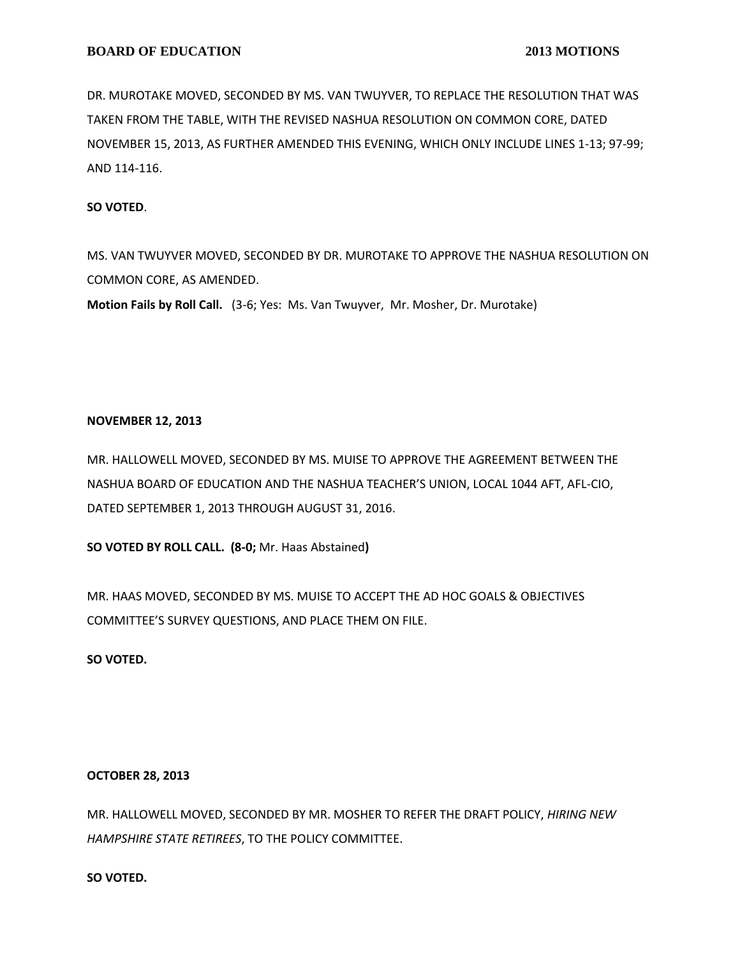DR. MUROTAKE MOVED, SECONDED BY MS. VAN TWUYVER, TO REPLACE THE RESOLUTION THAT WAS TAKEN FROM THE TABLE, WITH THE REVISED NASHUA RESOLUTION ON COMMON CORE, DATED NOVEMBER 15, 2013, AS FURTHER AMENDED THIS EVENING, WHICH ONLY INCLUDE LINES 1-13; 97-99; AND 114-116.

# **SO VOTED**.

MS. VAN TWUYVER MOVED, SECONDED BY DR. MUROTAKE TO APPROVE THE NASHUA RESOLUTION ON COMMON CORE, AS AMENDED.

**Motion Fails by Roll Call.** (3-6; Yes: Ms. Van Twuyver, Mr. Mosher, Dr. Murotake)

### **NOVEMBER 12, 2013**

MR. HALLOWELL MOVED, SECONDED BY MS. MUISE TO APPROVE THE AGREEMENT BETWEEN THE NASHUA BOARD OF EDUCATION AND THE NASHUA TEACHER'S UNION, LOCAL 1044 AFT, AFL-CIO, DATED SEPTEMBER 1, 2013 THROUGH AUGUST 31, 2016.

**SO VOTED BY ROLL CALL. (8-0;** Mr. Haas Abstained**)**

MR. HAAS MOVED, SECONDED BY MS. MUISE TO ACCEPT THE AD HOC GOALS & OBJECTIVES COMMITTEE'S SURVEY QUESTIONS, AND PLACE THEM ON FILE.

**SO VOTED.**

# **OCTOBER 28, 2013**

MR. HALLOWELL MOVED, SECONDED BY MR. MOSHER TO REFER THE DRAFT POLICY, *HIRING NEW HAMPSHIRE STATE RETIREES*, TO THE POLICY COMMITTEE.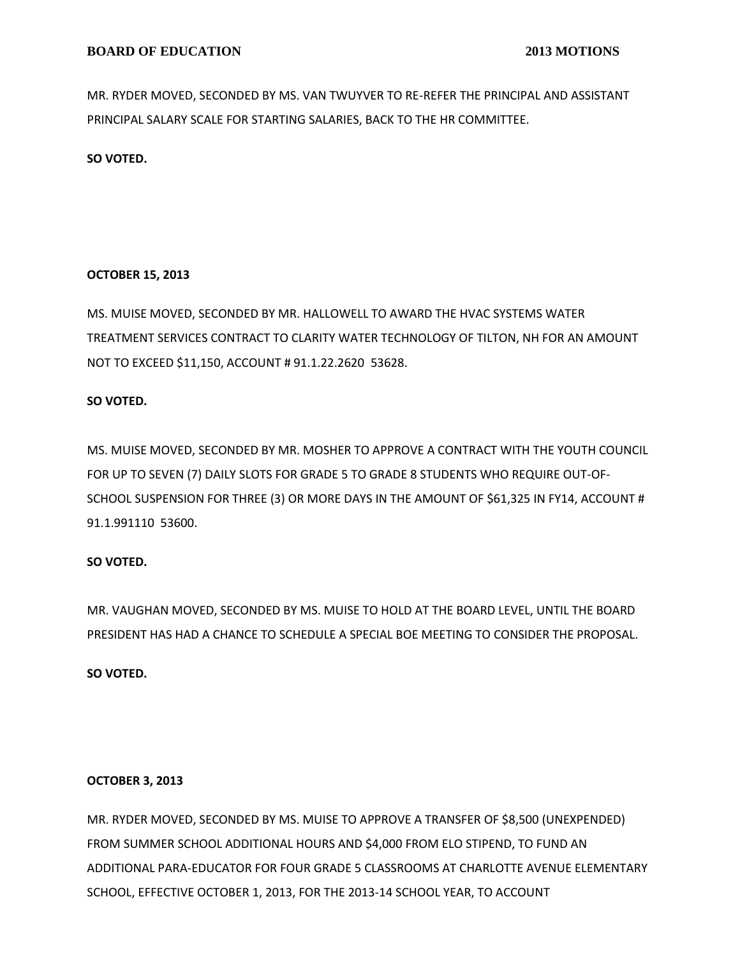MR. RYDER MOVED, SECONDED BY MS. VAN TWUYVER TO RE-REFER THE PRINCIPAL AND ASSISTANT PRINCIPAL SALARY SCALE FOR STARTING SALARIES, BACK TO THE HR COMMITTEE.

**SO VOTED.**

# **OCTOBER 15, 2013**

MS. MUISE MOVED, SECONDED BY MR. HALLOWELL TO AWARD THE HVAC SYSTEMS WATER TREATMENT SERVICES CONTRACT TO CLARITY WATER TECHNOLOGY OF TILTON, NH FOR AN AMOUNT NOT TO EXCEED \$11,150, ACCOUNT # 91.1.22.2620 53628.

# **SO VOTED.**

MS. MUISE MOVED, SECONDED BY MR. MOSHER TO APPROVE A CONTRACT WITH THE YOUTH COUNCIL FOR UP TO SEVEN (7) DAILY SLOTS FOR GRADE 5 TO GRADE 8 STUDENTS WHO REQUIRE OUT-OF-SCHOOL SUSPENSION FOR THREE (3) OR MORE DAYS IN THE AMOUNT OF \$61,325 IN FY14, ACCOUNT # 91.1.991110 53600.

# **SO VOTED.**

MR. VAUGHAN MOVED, SECONDED BY MS. MUISE TO HOLD AT THE BOARD LEVEL, UNTIL THE BOARD PRESIDENT HAS HAD A CHANCE TO SCHEDULE A SPECIAL BOE MEETING TO CONSIDER THE PROPOSAL.

**SO VOTED.**

# **OCTOBER 3, 2013**

MR. RYDER MOVED, SECONDED BY MS. MUISE TO APPROVE A TRANSFER OF \$8,500 (UNEXPENDED) FROM SUMMER SCHOOL ADDITIONAL HOURS AND \$4,000 FROM ELO STIPEND, TO FUND AN ADDITIONAL PARA-EDUCATOR FOR FOUR GRADE 5 CLASSROOMS AT CHARLOTTE AVENUE ELEMENTARY SCHOOL, EFFECTIVE OCTOBER 1, 2013, FOR THE 2013-14 SCHOOL YEAR, TO ACCOUNT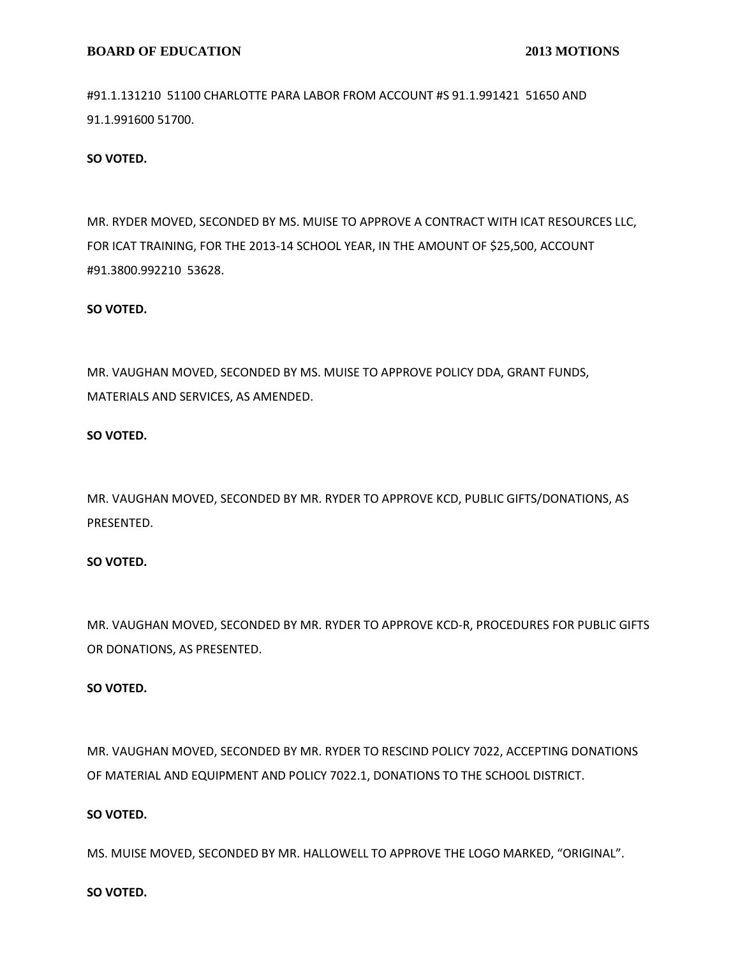#91.1.131210 51100 CHARLOTTE PARA LABOR FROM ACCOUNT #S 91.1.991421 51650 AND 91.1.991600 51700.

## **SO VOTED.**

MR. RYDER MOVED, SECONDED BY MS. MUISE TO APPROVE A CONTRACT WITH ICAT RESOURCES LLC, FOR ICAT TRAINING, FOR THE 2013-14 SCHOOL YEAR, IN THE AMOUNT OF \$25,500, ACCOUNT #91.3800.992210 53628.

#### **SO VOTED.**

MR. VAUGHAN MOVED, SECONDED BY MS. MUISE TO APPROVE POLICY DDA, GRANT FUNDS, MATERIALS AND SERVICES, AS AMENDED.

## **SO VOTED.**

MR. VAUGHAN MOVED, SECONDED BY MR. RYDER TO APPROVE KCD, PUBLIC GIFTS/DONATIONS, AS PRESENTED.

### **SO VOTED.**

MR. VAUGHAN MOVED, SECONDED BY MR. RYDER TO APPROVE KCD-R, PROCEDURES FOR PUBLIC GIFTS OR DONATIONS, AS PRESENTED.

### **SO VOTED.**

MR. VAUGHAN MOVED, SECONDED BY MR. RYDER TO RESCIND POLICY 7022, ACCEPTING DONATIONS OF MATERIAL AND EQUIPMENT AND POLICY 7022.1, DONATIONS TO THE SCHOOL DISTRICT.

# **SO VOTED.**

MS. MUISE MOVED, SECONDED BY MR. HALLOWELL TO APPROVE THE LOGO MARKED, "ORIGINAL".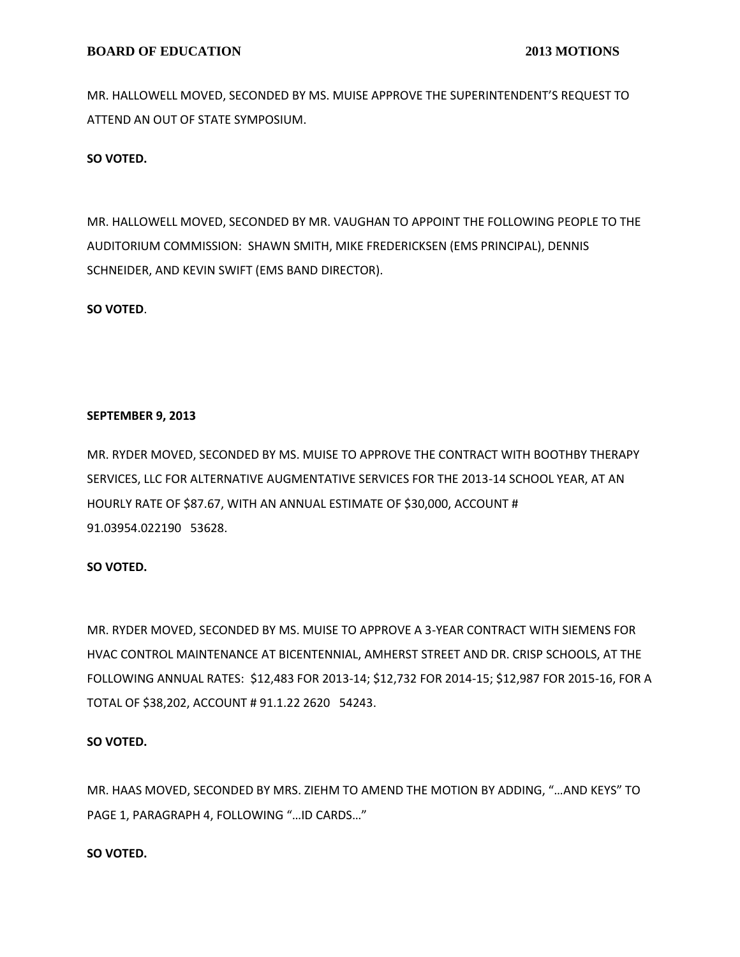MR. HALLOWELL MOVED, SECONDED BY MS. MUISE APPROVE THE SUPERINTENDENT'S REQUEST TO ATTEND AN OUT OF STATE SYMPOSIUM.

# **SO VOTED.**

MR. HALLOWELL MOVED, SECONDED BY MR. VAUGHAN TO APPOINT THE FOLLOWING PEOPLE TO THE AUDITORIUM COMMISSION: SHAWN SMITH, MIKE FREDERICKSEN (EMS PRINCIPAL), DENNIS SCHNEIDER, AND KEVIN SWIFT (EMS BAND DIRECTOR).

### **SO VOTED**.

# **SEPTEMBER 9, 2013**

MR. RYDER MOVED, SECONDED BY MS. MUISE TO APPROVE THE CONTRACT WITH BOOTHBY THERAPY SERVICES, LLC FOR ALTERNATIVE AUGMENTATIVE SERVICES FOR THE 2013-14 SCHOOL YEAR, AT AN HOURLY RATE OF \$87.67, WITH AN ANNUAL ESTIMATE OF \$30,000, ACCOUNT # 91.03954.022190 53628.

# **SO VOTED.**

MR. RYDER MOVED, SECONDED BY MS. MUISE TO APPROVE A 3-YEAR CONTRACT WITH SIEMENS FOR HVAC CONTROL MAINTENANCE AT BICENTENNIAL, AMHERST STREET AND DR. CRISP SCHOOLS, AT THE FOLLOWING ANNUAL RATES: \$12,483 FOR 2013-14; \$12,732 FOR 2014-15; \$12,987 FOR 2015-16, FOR A TOTAL OF \$38,202, ACCOUNT # 91.1.22 2620 54243.

# **SO VOTED.**

MR. HAAS MOVED, SECONDED BY MRS. ZIEHM TO AMEND THE MOTION BY ADDING, "…AND KEYS" TO PAGE 1, PARAGRAPH 4, FOLLOWING "…ID CARDS…"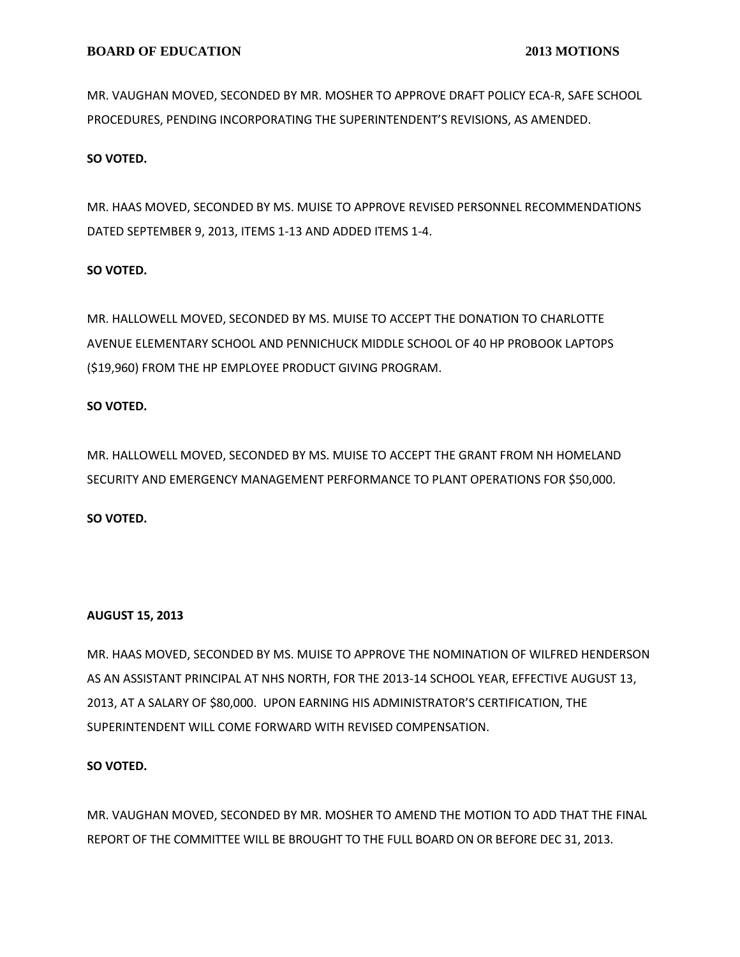MR. VAUGHAN MOVED, SECONDED BY MR. MOSHER TO APPROVE DRAFT POLICY ECA-R, SAFE SCHOOL PROCEDURES, PENDING INCORPORATING THE SUPERINTENDENT'S REVISIONS, AS AMENDED.

# **SO VOTED.**

MR. HAAS MOVED, SECONDED BY MS. MUISE TO APPROVE REVISED PERSONNEL RECOMMENDATIONS DATED SEPTEMBER 9, 2013, ITEMS 1-13 AND ADDED ITEMS 1-4.

# **SO VOTED.**

MR. HALLOWELL MOVED, SECONDED BY MS. MUISE TO ACCEPT THE DONATION TO CHARLOTTE AVENUE ELEMENTARY SCHOOL AND PENNICHUCK MIDDLE SCHOOL OF 40 HP PROBOOK LAPTOPS (\$19,960) FROM THE HP EMPLOYEE PRODUCT GIVING PROGRAM.

## **SO VOTED.**

MR. HALLOWELL MOVED, SECONDED BY MS. MUISE TO ACCEPT THE GRANT FROM NH HOMELAND SECURITY AND EMERGENCY MANAGEMENT PERFORMANCE TO PLANT OPERATIONS FOR \$50,000.

# **SO VOTED.**

#### **AUGUST 15, 2013**

MR. HAAS MOVED, SECONDED BY MS. MUISE TO APPROVE THE NOMINATION OF WILFRED HENDERSON AS AN ASSISTANT PRINCIPAL AT NHS NORTH, FOR THE 2013-14 SCHOOL YEAR, EFFECTIVE AUGUST 13, 2013, AT A SALARY OF \$80,000. UPON EARNING HIS ADMINISTRATOR'S CERTIFICATION, THE SUPERINTENDENT WILL COME FORWARD WITH REVISED COMPENSATION.

#### **SO VOTED.**

MR. VAUGHAN MOVED, SECONDED BY MR. MOSHER TO AMEND THE MOTION TO ADD THAT THE FINAL REPORT OF THE COMMITTEE WILL BE BROUGHT TO THE FULL BOARD ON OR BEFORE DEC 31, 2013.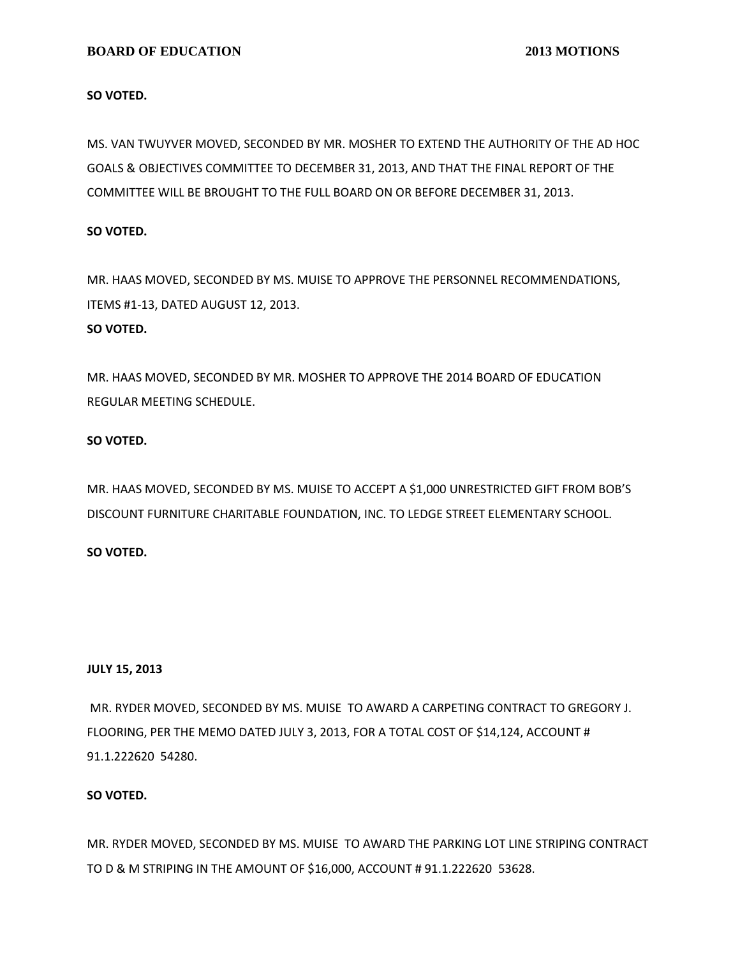### **BOARD OF EDUCATION 2013 MOTIONS**

### **SO VOTED.**

MS. VAN TWUYVER MOVED, SECONDED BY MR. MOSHER TO EXTEND THE AUTHORITY OF THE AD HOC GOALS & OBJECTIVES COMMITTEE TO DECEMBER 31, 2013, AND THAT THE FINAL REPORT OF THE COMMITTEE WILL BE BROUGHT TO THE FULL BOARD ON OR BEFORE DECEMBER 31, 2013.

### **SO VOTED.**

MR. HAAS MOVED, SECONDED BY MS. MUISE TO APPROVE THE PERSONNEL RECOMMENDATIONS, ITEMS #1-13, DATED AUGUST 12, 2013. **SO VOTED.**

MR. HAAS MOVED, SECONDED BY MR. MOSHER TO APPROVE THE 2014 BOARD OF EDUCATION REGULAR MEETING SCHEDULE.

### **SO VOTED.**

MR. HAAS MOVED, SECONDED BY MS. MUISE TO ACCEPT A \$1,000 UNRESTRICTED GIFT FROM BOB'S DISCOUNT FURNITURE CHARITABLE FOUNDATION, INC. TO LEDGE STREET ELEMENTARY SCHOOL.

# **SO VOTED.**

#### **JULY 15, 2013**

MR. RYDER MOVED, SECONDED BY MS. MUISE TO AWARD A CARPETING CONTRACT TO GREGORY J. FLOORING, PER THE MEMO DATED JULY 3, 2013, FOR A TOTAL COST OF \$14,124, ACCOUNT # 91.1.222620 54280.

#### **SO VOTED.**

MR. RYDER MOVED, SECONDED BY MS. MUISE TO AWARD THE PARKING LOT LINE STRIPING CONTRACT TO D & M STRIPING IN THE AMOUNT OF \$16,000, ACCOUNT # 91.1.222620 53628.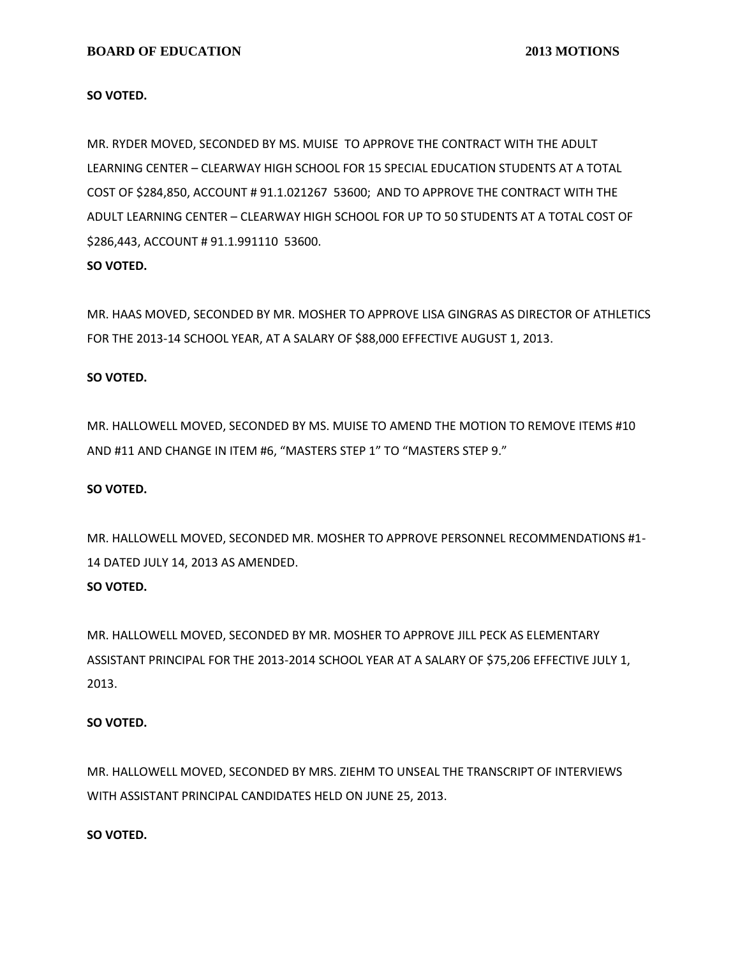### **BOARD OF EDUCATION 2013 MOTIONS**

#### **SO VOTED.**

MR. RYDER MOVED, SECONDED BY MS. MUISE TO APPROVE THE CONTRACT WITH THE ADULT LEARNING CENTER – CLEARWAY HIGH SCHOOL FOR 15 SPECIAL EDUCATION STUDENTS AT A TOTAL COST OF \$284,850, ACCOUNT # 91.1.021267 53600; AND TO APPROVE THE CONTRACT WITH THE ADULT LEARNING CENTER – CLEARWAY HIGH SCHOOL FOR UP TO 50 STUDENTS AT A TOTAL COST OF \$286,443, ACCOUNT # 91.1.991110 53600.

# **SO VOTED.**

MR. HAAS MOVED, SECONDED BY MR. MOSHER TO APPROVE LISA GINGRAS AS DIRECTOR OF ATHLETICS FOR THE 2013-14 SCHOOL YEAR, AT A SALARY OF \$88,000 EFFECTIVE AUGUST 1, 2013.

#### **SO VOTED.**

MR. HALLOWELL MOVED, SECONDED BY MS. MUISE TO AMEND THE MOTION TO REMOVE ITEMS #10 AND #11 AND CHANGE IN ITEM #6, "MASTERS STEP 1" TO "MASTERS STEP 9."

#### **SO VOTED.**

MR. HALLOWELL MOVED, SECONDED MR. MOSHER TO APPROVE PERSONNEL RECOMMENDATIONS #1- 14 DATED JULY 14, 2013 AS AMENDED. **SO VOTED.**

MR. HALLOWELL MOVED, SECONDED BY MR. MOSHER TO APPROVE JILL PECK AS ELEMENTARY ASSISTANT PRINCIPAL FOR THE 2013-2014 SCHOOL YEAR AT A SALARY OF \$75,206 EFFECTIVE JULY 1, 2013.

#### **SO VOTED.**

MR. HALLOWELL MOVED, SECONDED BY MRS. ZIEHM TO UNSEAL THE TRANSCRIPT OF INTERVIEWS WITH ASSISTANT PRINCIPAL CANDIDATES HELD ON JUNE 25, 2013.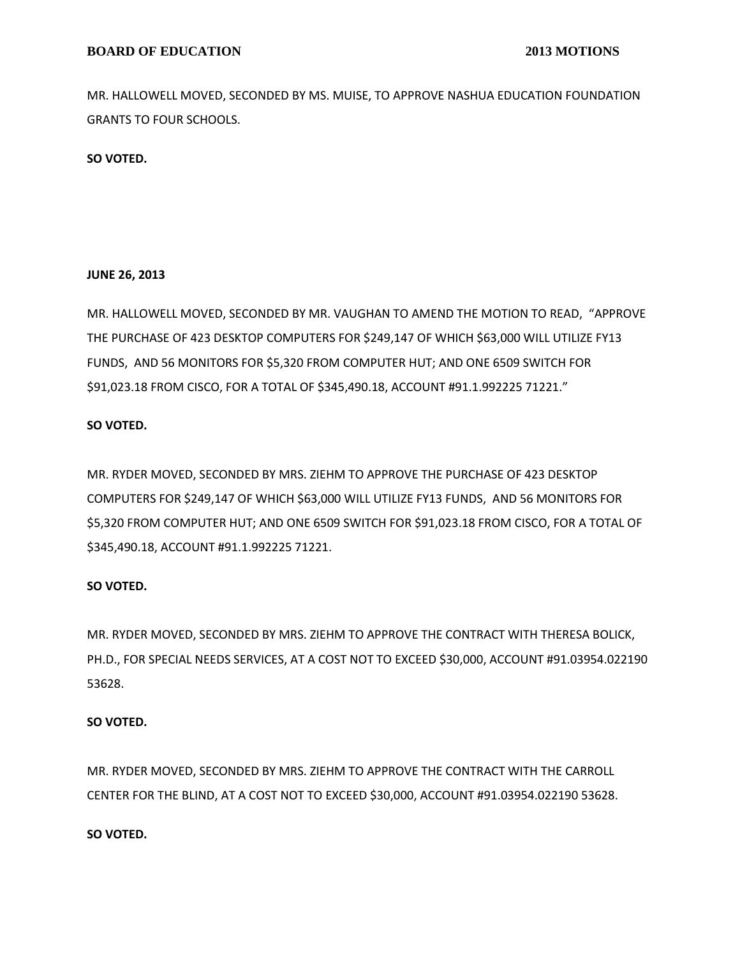MR. HALLOWELL MOVED, SECONDED BY MS. MUISE, TO APPROVE NASHUA EDUCATION FOUNDATION GRANTS TO FOUR SCHOOLS.

**SO VOTED.**

#### **JUNE 26, 2013**

MR. HALLOWELL MOVED, SECONDED BY MR. VAUGHAN TO AMEND THE MOTION TO READ, "APPROVE THE PURCHASE OF 423 DESKTOP COMPUTERS FOR \$249,147 OF WHICH \$63,000 WILL UTILIZE FY13 FUNDS, AND 56 MONITORS FOR \$5,320 FROM COMPUTER HUT; AND ONE 6509 SWITCH FOR \$91,023.18 FROM CISCO, FOR A TOTAL OF \$345,490.18, ACCOUNT #91.1.992225 71221."

# **SO VOTED.**

MR. RYDER MOVED, SECONDED BY MRS. ZIEHM TO APPROVE THE PURCHASE OF 423 DESKTOP COMPUTERS FOR \$249,147 OF WHICH \$63,000 WILL UTILIZE FY13 FUNDS, AND 56 MONITORS FOR \$5,320 FROM COMPUTER HUT; AND ONE 6509 SWITCH FOR \$91,023.18 FROM CISCO, FOR A TOTAL OF \$345,490.18, ACCOUNT #91.1.992225 71221.

# **SO VOTED.**

MR. RYDER MOVED, SECONDED BY MRS. ZIEHM TO APPROVE THE CONTRACT WITH THERESA BOLICK, PH.D., FOR SPECIAL NEEDS SERVICES, AT A COST NOT TO EXCEED \$30,000, ACCOUNT #91.03954.022190 53628.

#### **SO VOTED.**

MR. RYDER MOVED, SECONDED BY MRS. ZIEHM TO APPROVE THE CONTRACT WITH THE CARROLL CENTER FOR THE BLIND, AT A COST NOT TO EXCEED \$30,000, ACCOUNT #91.03954.022190 53628.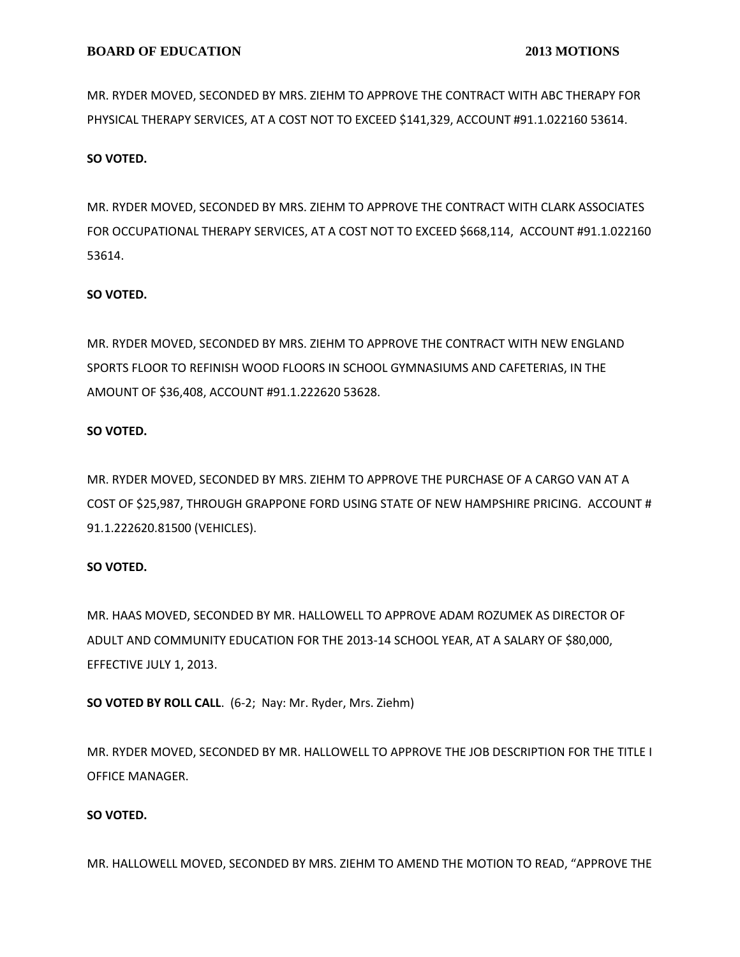MR. RYDER MOVED, SECONDED BY MRS. ZIEHM TO APPROVE THE CONTRACT WITH ABC THERAPY FOR PHYSICAL THERAPY SERVICES, AT A COST NOT TO EXCEED \$141,329, ACCOUNT #91.1.022160 53614.

# **SO VOTED.**

MR. RYDER MOVED, SECONDED BY MRS. ZIEHM TO APPROVE THE CONTRACT WITH CLARK ASSOCIATES FOR OCCUPATIONAL THERAPY SERVICES, AT A COST NOT TO EXCEED \$668,114, ACCOUNT #91.1.022160 53614.

### **SO VOTED.**

MR. RYDER MOVED, SECONDED BY MRS. ZIEHM TO APPROVE THE CONTRACT WITH NEW ENGLAND SPORTS FLOOR TO REFINISH WOOD FLOORS IN SCHOOL GYMNASIUMS AND CAFETERIAS, IN THE AMOUNT OF \$36,408, ACCOUNT #91.1.222620 53628.

### **SO VOTED.**

MR. RYDER MOVED, SECONDED BY MRS. ZIEHM TO APPROVE THE PURCHASE OF A CARGO VAN AT A COST OF \$25,987, THROUGH GRAPPONE FORD USING STATE OF NEW HAMPSHIRE PRICING. ACCOUNT # 91.1.222620.81500 (VEHICLES).

# **SO VOTED.**

MR. HAAS MOVED, SECONDED BY MR. HALLOWELL TO APPROVE ADAM ROZUMEK AS DIRECTOR OF ADULT AND COMMUNITY EDUCATION FOR THE 2013-14 SCHOOL YEAR, AT A SALARY OF \$80,000, EFFECTIVE JULY 1, 2013.

**SO VOTED BY ROLL CALL**. (6-2; Nay: Mr. Ryder, Mrs. Ziehm)

MR. RYDER MOVED, SECONDED BY MR. HALLOWELL TO APPROVE THE JOB DESCRIPTION FOR THE TITLE I OFFICE MANAGER.

#### **SO VOTED.**

MR. HALLOWELL MOVED, SECONDED BY MRS. ZIEHM TO AMEND THE MOTION TO READ, "APPROVE THE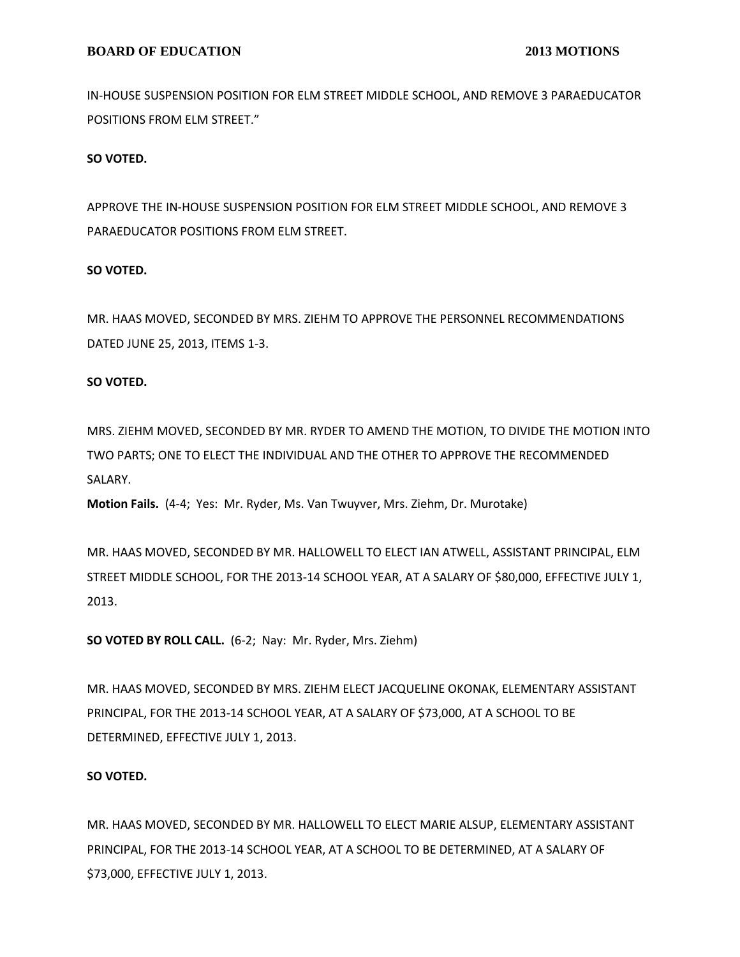IN-HOUSE SUSPENSION POSITION FOR ELM STREET MIDDLE SCHOOL, AND REMOVE 3 PARAEDUCATOR POSITIONS FROM ELM STREET."

### **SO VOTED.**

APPROVE THE IN-HOUSE SUSPENSION POSITION FOR ELM STREET MIDDLE SCHOOL, AND REMOVE 3 PARAEDUCATOR POSITIONS FROM ELM STREET.

### **SO VOTED.**

MR. HAAS MOVED, SECONDED BY MRS. ZIEHM TO APPROVE THE PERSONNEL RECOMMENDATIONS DATED JUNE 25, 2013, ITEMS 1-3.

### **SO VOTED.**

MRS. ZIEHM MOVED, SECONDED BY MR. RYDER TO AMEND THE MOTION, TO DIVIDE THE MOTION INTO TWO PARTS; ONE TO ELECT THE INDIVIDUAL AND THE OTHER TO APPROVE THE RECOMMENDED SALARY.

**Motion Fails.** (4-4; Yes: Mr. Ryder, Ms. Van Twuyver, Mrs. Ziehm, Dr. Murotake)

MR. HAAS MOVED, SECONDED BY MR. HALLOWELL TO ELECT IAN ATWELL, ASSISTANT PRINCIPAL, ELM STREET MIDDLE SCHOOL, FOR THE 2013-14 SCHOOL YEAR, AT A SALARY OF \$80,000, EFFECTIVE JULY 1, 2013.

**SO VOTED BY ROLL CALL.** (6-2; Nay: Mr. Ryder, Mrs. Ziehm)

MR. HAAS MOVED, SECONDED BY MRS. ZIEHM ELECT JACQUELINE OKONAK, ELEMENTARY ASSISTANT PRINCIPAL, FOR THE 2013-14 SCHOOL YEAR, AT A SALARY OF \$73,000, AT A SCHOOL TO BE DETERMINED, EFFECTIVE JULY 1, 2013.

#### **SO VOTED.**

MR. HAAS MOVED, SECONDED BY MR. HALLOWELL TO ELECT MARIE ALSUP, ELEMENTARY ASSISTANT PRINCIPAL, FOR THE 2013-14 SCHOOL YEAR, AT A SCHOOL TO BE DETERMINED, AT A SALARY OF \$73,000, EFFECTIVE JULY 1, 2013.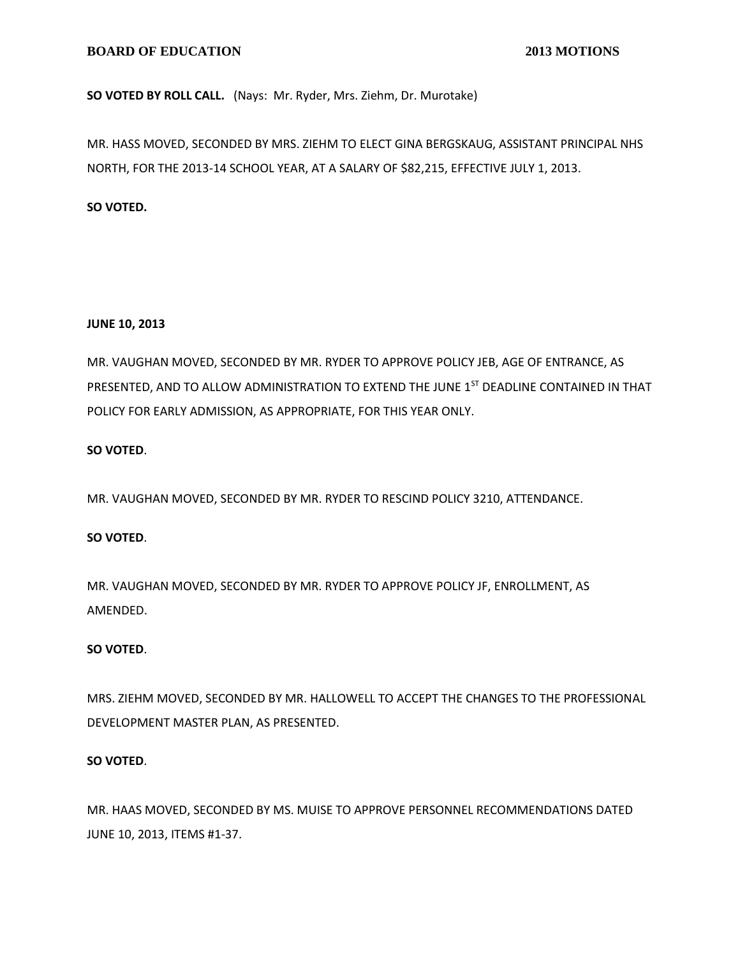# **SO VOTED BY ROLL CALL.** (Nays: Mr. Ryder, Mrs. Ziehm, Dr. Murotake)

MR. HASS MOVED, SECONDED BY MRS. ZIEHM TO ELECT GINA BERGSKAUG, ASSISTANT PRINCIPAL NHS NORTH, FOR THE 2013-14 SCHOOL YEAR, AT A SALARY OF \$82,215, EFFECTIVE JULY 1, 2013.

# **SO VOTED.**

# **JUNE 10, 2013**

MR. VAUGHAN MOVED, SECONDED BY MR. RYDER TO APPROVE POLICY JEB, AGE OF ENTRANCE, AS PRESENTED, AND TO ALLOW ADMINISTRATION TO EXTEND THE JUNE 1ST DEADLINE CONTAINED IN THAT POLICY FOR EARLY ADMISSION, AS APPROPRIATE, FOR THIS YEAR ONLY.

# **SO VOTED**.

MR. VAUGHAN MOVED, SECONDED BY MR. RYDER TO RESCIND POLICY 3210, ATTENDANCE.

# **SO VOTED**.

MR. VAUGHAN MOVED, SECONDED BY MR. RYDER TO APPROVE POLICY JF, ENROLLMENT, AS AMENDED.

# **SO VOTED**.

MRS. ZIEHM MOVED, SECONDED BY MR. HALLOWELL TO ACCEPT THE CHANGES TO THE PROFESSIONAL DEVELOPMENT MASTER PLAN, AS PRESENTED.

# **SO VOTED**.

MR. HAAS MOVED, SECONDED BY MS. MUISE TO APPROVE PERSONNEL RECOMMENDATIONS DATED JUNE 10, 2013, ITEMS #1-37.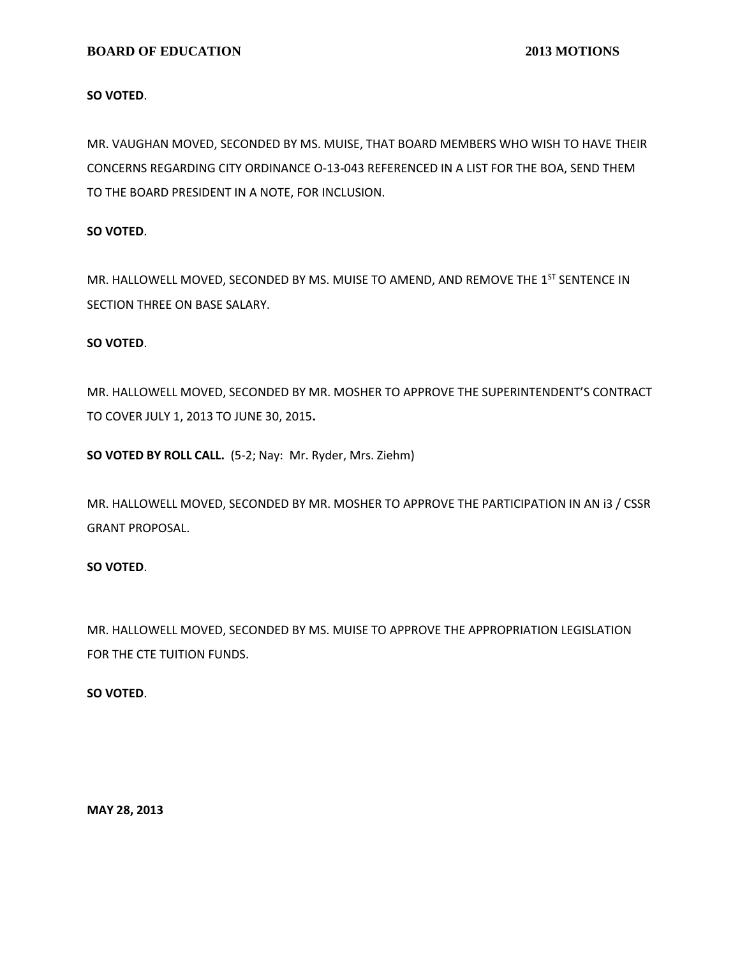### **BOARD OF EDUCATION** 2013 MOTIONS

#### **SO VOTED**.

MR. VAUGHAN MOVED, SECONDED BY MS. MUISE, THAT BOARD MEMBERS WHO WISH TO HAVE THEIR CONCERNS REGARDING CITY ORDINANCE O‐13‐043 REFERENCED IN A LIST FOR THE BOA, SEND THEM TO THE BOARD PRESIDENT IN A NOTE, FOR INCLUSION.

#### **SO VOTED**.

MR. HALLOWELL MOVED, SECONDED BY MS. MUISE TO AMEND, AND REMOVE THE 1<sup>ST</sup> SENTENCE IN SECTION THREE ON BASE SALARY.

### **SO VOTED**.

MR. HALLOWELL MOVED, SECONDED BY MR. MOSHER TO APPROVE THE SUPERINTENDENT'S CONTRACT TO COVER JULY 1, 2013 TO JUNE 30, 2015**.**

**SO VOTED BY ROLL CALL.** (5-2; Nay: Mr. Ryder, Mrs. Ziehm)

MR. HALLOWELL MOVED, SECONDED BY MR. MOSHER TO APPROVE THE PARTICIPATION IN AN i3 / CSSR GRANT PROPOSAL.

## **SO VOTED**.

MR. HALLOWELL MOVED, SECONDED BY MS. MUISE TO APPROVE THE APPROPRIATION LEGISLATION FOR THE CTE TUITION FUNDS.

#### **SO VOTED**.

**MAY 28, 2013**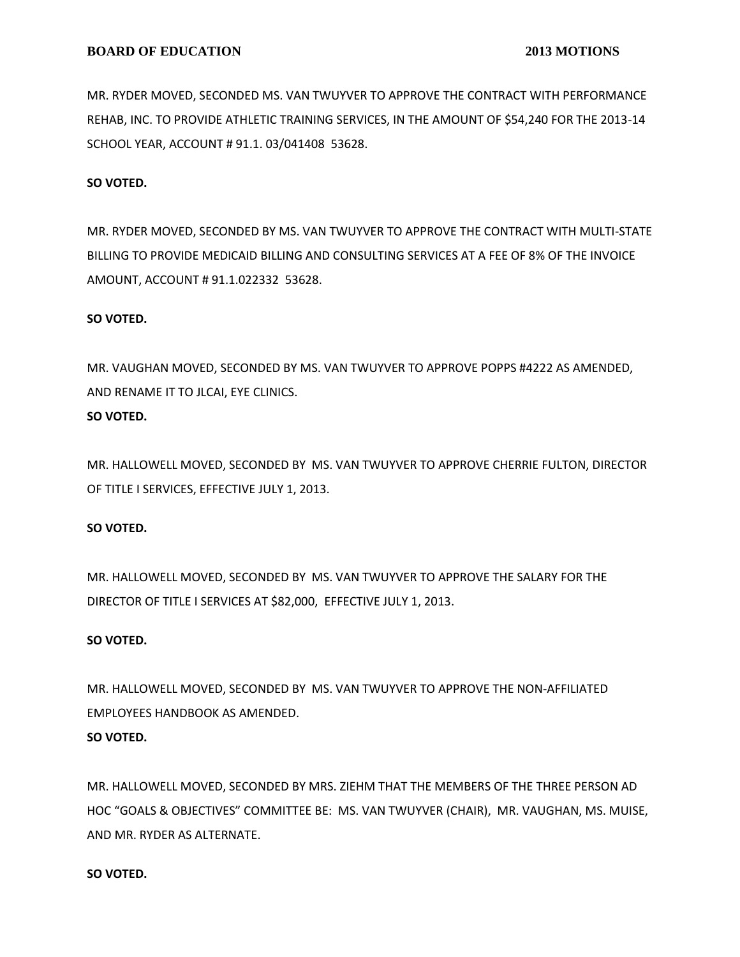MR. RYDER MOVED, SECONDED MS. VAN TWUYVER TO APPROVE THE CONTRACT WITH PERFORMANCE REHAB, INC. TO PROVIDE ATHLETIC TRAINING SERVICES, IN THE AMOUNT OF \$54,240 FOR THE 2013-14 SCHOOL YEAR, ACCOUNT # 91.1. 03/041408 53628.

## **SO VOTED.**

MR. RYDER MOVED, SECONDED BY MS. VAN TWUYVER TO APPROVE THE CONTRACT WITH MULTI-STATE BILLING TO PROVIDE MEDICAID BILLING AND CONSULTING SERVICES AT A FEE OF 8% OF THE INVOICE AMOUNT, ACCOUNT # 91.1.022332 53628.

#### **SO VOTED.**

MR. VAUGHAN MOVED, SECONDED BY MS. VAN TWUYVER TO APPROVE POPPS #4222 AS AMENDED, AND RENAME IT TO JLCAI, EYE CLINICS.

# **SO VOTED.**

MR. HALLOWELL MOVED, SECONDED BY MS. VAN TWUYVER TO APPROVE CHERRIE FULTON, DIRECTOR OF TITLE I SERVICES, EFFECTIVE JULY 1, 2013.

#### **SO VOTED.**

MR. HALLOWELL MOVED, SECONDED BY MS. VAN TWUYVER TO APPROVE THE SALARY FOR THE DIRECTOR OF TITLE I SERVICES AT \$82,000, EFFECTIVE JULY 1, 2013.

#### **SO VOTED.**

MR. HALLOWELL MOVED, SECONDED BY MS. VAN TWUYVER TO APPROVE THE NON-AFFILIATED EMPLOYEES HANDBOOK AS AMENDED. **SO VOTED.**

MR. HALLOWELL MOVED, SECONDED BY MRS. ZIEHM THAT THE MEMBERS OF THE THREE PERSON AD HOC "GOALS & OBJECTIVES" COMMITTEE BE: MS. VAN TWUYVER (CHAIR), MR. VAUGHAN, MS. MUISE, AND MR. RYDER AS ALTERNATE.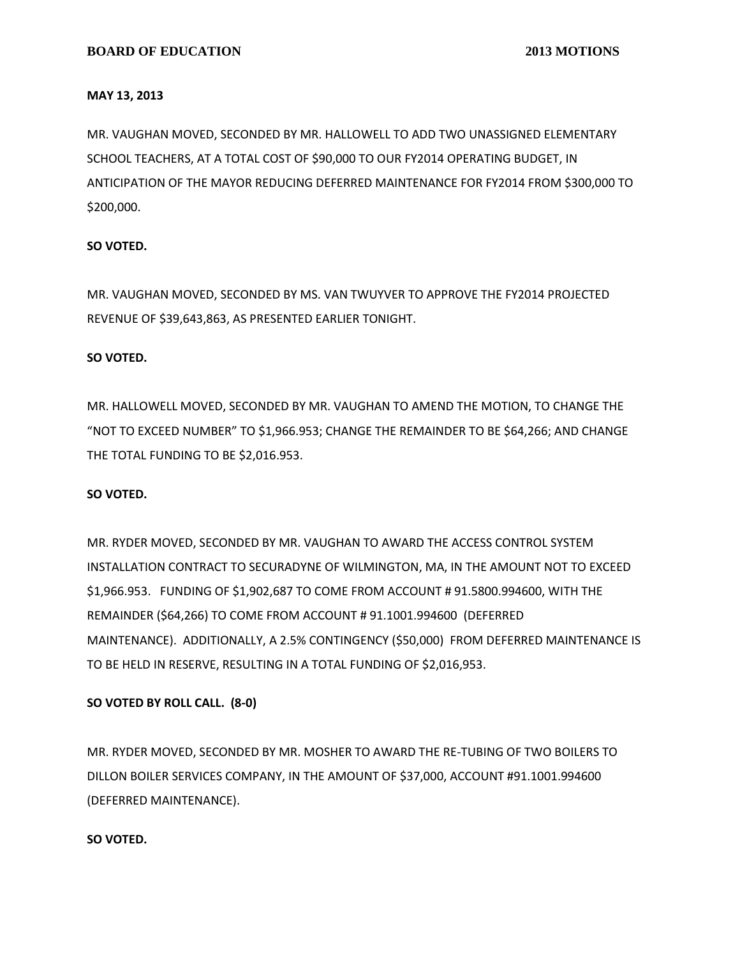### **MAY 13, 2013**

MR. VAUGHAN MOVED, SECONDED BY MR. HALLOWELL TO ADD TWO UNASSIGNED ELEMENTARY SCHOOL TEACHERS, AT A TOTAL COST OF \$90,000 TO OUR FY2014 OPERATING BUDGET, IN ANTICIPATION OF THE MAYOR REDUCING DEFERRED MAINTENANCE FOR FY2014 FROM \$300,000 TO \$200,000.

# **SO VOTED.**

MR. VAUGHAN MOVED, SECONDED BY MS. VAN TWUYVER TO APPROVE THE FY2014 PROJECTED REVENUE OF \$39,643,863, AS PRESENTED EARLIER TONIGHT.

# **SO VOTED.**

MR. HALLOWELL MOVED, SECONDED BY MR. VAUGHAN TO AMEND THE MOTION, TO CHANGE THE "NOT TO EXCEED NUMBER" TO \$1,966.953; CHANGE THE REMAINDER TO BE \$64,266; AND CHANGE THE TOTAL FUNDING TO BE \$2,016.953.

# **SO VOTED.**

MR. RYDER MOVED, SECONDED BY MR. VAUGHAN TO AWARD THE ACCESS CONTROL SYSTEM INSTALLATION CONTRACT TO SECURADYNE OF WILMINGTON, MA, IN THE AMOUNT NOT TO EXCEED \$1,966.953. FUNDING OF \$1,902,687 TO COME FROM ACCOUNT # 91.5800.994600, WITH THE REMAINDER (\$64,266) TO COME FROM ACCOUNT # 91.1001.994600 (DEFERRED MAINTENANCE). ADDITIONALLY, A 2.5% CONTINGENCY (\$50,000) FROM DEFERRED MAINTENANCE IS TO BE HELD IN RESERVE, RESULTING IN A TOTAL FUNDING OF \$2,016,953.

# **SO VOTED BY ROLL CALL. (8-0)**

MR. RYDER MOVED, SECONDED BY MR. MOSHER TO AWARD THE RE-TUBING OF TWO BOILERS TO DILLON BOILER SERVICES COMPANY, IN THE AMOUNT OF \$37,000, ACCOUNT #91.1001.994600 (DEFERRED MAINTENANCE).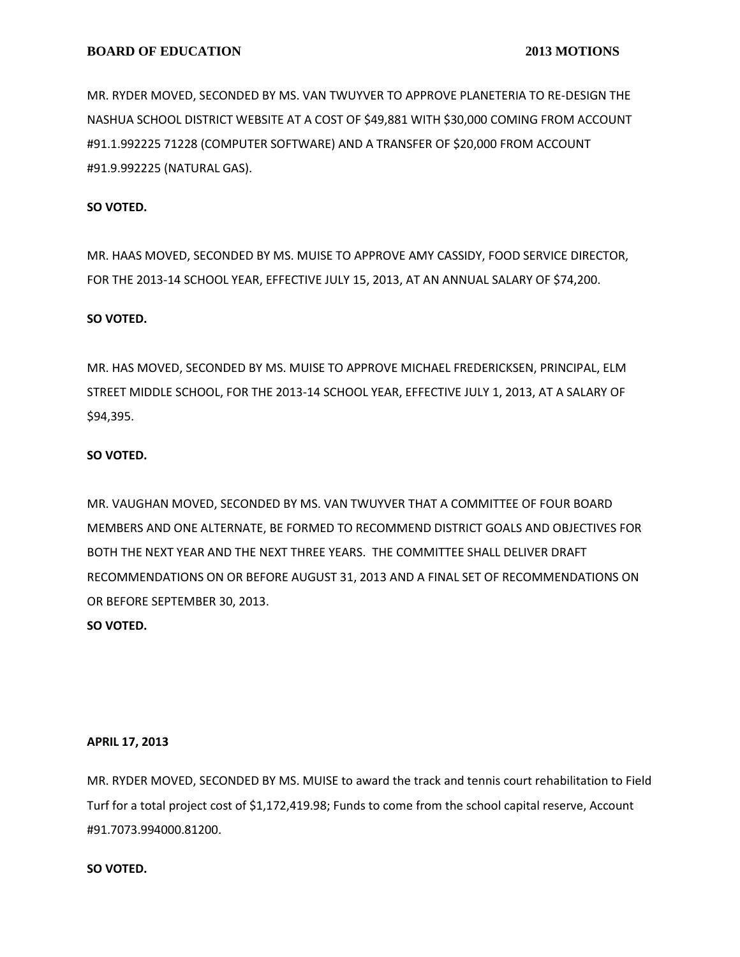MR. RYDER MOVED, SECONDED BY MS. VAN TWUYVER TO APPROVE PLANETERIA TO RE-DESIGN THE NASHUA SCHOOL DISTRICT WEBSITE AT A COST OF \$49,881 WITH \$30,000 COMING FROM ACCOUNT #91.1.992225 71228 (COMPUTER SOFTWARE) AND A TRANSFER OF \$20,000 FROM ACCOUNT #91.9.992225 (NATURAL GAS).

### **SO VOTED.**

MR. HAAS MOVED, SECONDED BY MS. MUISE TO APPROVE AMY CASSIDY, FOOD SERVICE DIRECTOR, FOR THE 2013-14 SCHOOL YEAR, EFFECTIVE JULY 15, 2013, AT AN ANNUAL SALARY OF \$74,200.

#### **SO VOTED.**

MR. HAS MOVED, SECONDED BY MS. MUISE TO APPROVE MICHAEL FREDERICKSEN, PRINCIPAL, ELM STREET MIDDLE SCHOOL, FOR THE 2013-14 SCHOOL YEAR, EFFECTIVE JULY 1, 2013, AT A SALARY OF \$94,395.

#### **SO VOTED.**

MR. VAUGHAN MOVED, SECONDED BY MS. VAN TWUYVER THAT A COMMITTEE OF FOUR BOARD MEMBERS AND ONE ALTERNATE, BE FORMED TO RECOMMEND DISTRICT GOALS AND OBJECTIVES FOR BOTH THE NEXT YEAR AND THE NEXT THREE YEARS. THE COMMITTEE SHALL DELIVER DRAFT RECOMMENDATIONS ON OR BEFORE AUGUST 31, 2013 AND A FINAL SET OF RECOMMENDATIONS ON OR BEFORE SEPTEMBER 30, 2013.

## **SO VOTED.**

#### **APRIL 17, 2013**

MR. RYDER MOVED, SECONDED BY MS. MUISE to award the track and tennis court rehabilitation to Field Turf for a total project cost of \$1,172,419.98; Funds to come from the school capital reserve, Account #91.7073.994000.81200.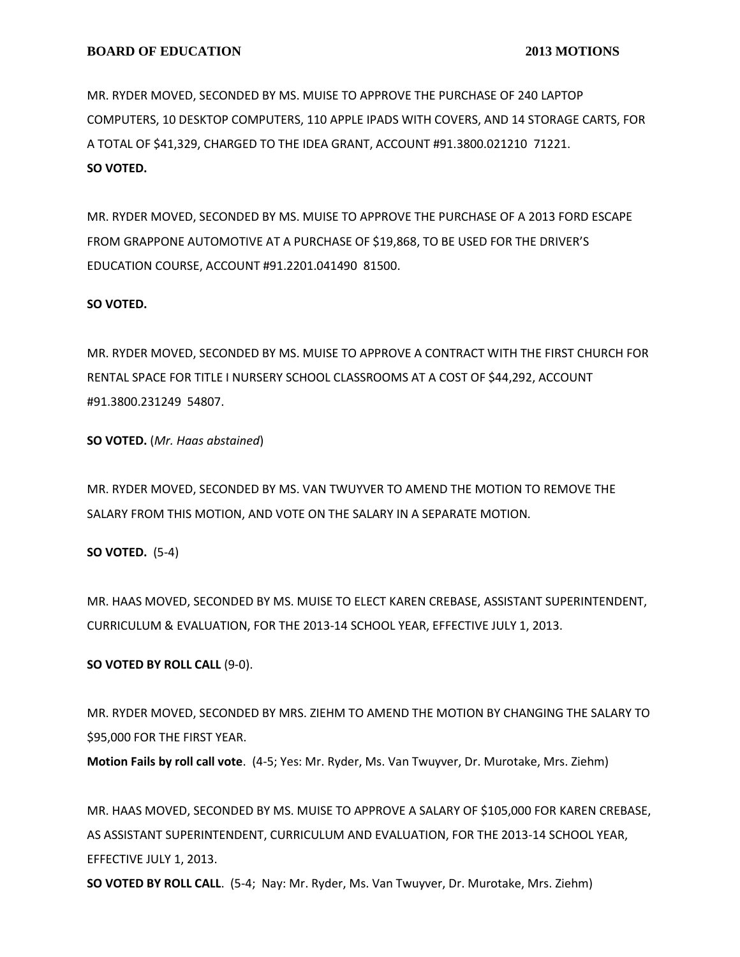MR. RYDER MOVED, SECONDED BY MS. MUISE TO APPROVE THE PURCHASE OF 240 LAPTOP COMPUTERS, 10 DESKTOP COMPUTERS, 110 APPLE IPADS WITH COVERS, AND 14 STORAGE CARTS, FOR A TOTAL OF \$41,329, CHARGED TO THE IDEA GRANT, ACCOUNT #91.3800.021210 71221. **SO VOTED.**

MR. RYDER MOVED, SECONDED BY MS. MUISE TO APPROVE THE PURCHASE OF A 2013 FORD ESCAPE FROM GRAPPONE AUTOMOTIVE AT A PURCHASE OF \$19,868, TO BE USED FOR THE DRIVER'S EDUCATION COURSE, ACCOUNT #91.2201.041490 81500.

### **SO VOTED.**

MR. RYDER MOVED, SECONDED BY MS. MUISE TO APPROVE A CONTRACT WITH THE FIRST CHURCH FOR RENTAL SPACE FOR TITLE I NURSERY SCHOOL CLASSROOMS AT A COST OF \$44,292, ACCOUNT #91.3800.231249 54807.

**SO VOTED.** (*Mr. Haas abstained*)

MR. RYDER MOVED, SECONDED BY MS. VAN TWUYVER TO AMEND THE MOTION TO REMOVE THE SALARY FROM THIS MOTION, AND VOTE ON THE SALARY IN A SEPARATE MOTION.

**SO VOTED.** (5-4)

MR. HAAS MOVED, SECONDED BY MS. MUISE TO ELECT KAREN CREBASE, ASSISTANT SUPERINTENDENT, CURRICULUM & EVALUATION, FOR THE 2013-14 SCHOOL YEAR, EFFECTIVE JULY 1, 2013.

# **SO VOTED BY ROLL CALL** (9-0).

MR. RYDER MOVED, SECONDED BY MRS. ZIEHM TO AMEND THE MOTION BY CHANGING THE SALARY TO \$95,000 FOR THE FIRST YEAR.

**Motion Fails by roll call vote**. (4-5; Yes: Mr. Ryder, Ms. Van Twuyver, Dr. Murotake, Mrs. Ziehm)

MR. HAAS MOVED, SECONDED BY MS. MUISE TO APPROVE A SALARY OF \$105,000 FOR KAREN CREBASE, AS ASSISTANT SUPERINTENDENT, CURRICULUM AND EVALUATION, FOR THE 2013-14 SCHOOL YEAR, EFFECTIVE JULY 1, 2013.

**SO VOTED BY ROLL CALL**. (5-4; Nay: Mr. Ryder, Ms. Van Twuyver, Dr. Murotake, Mrs. Ziehm)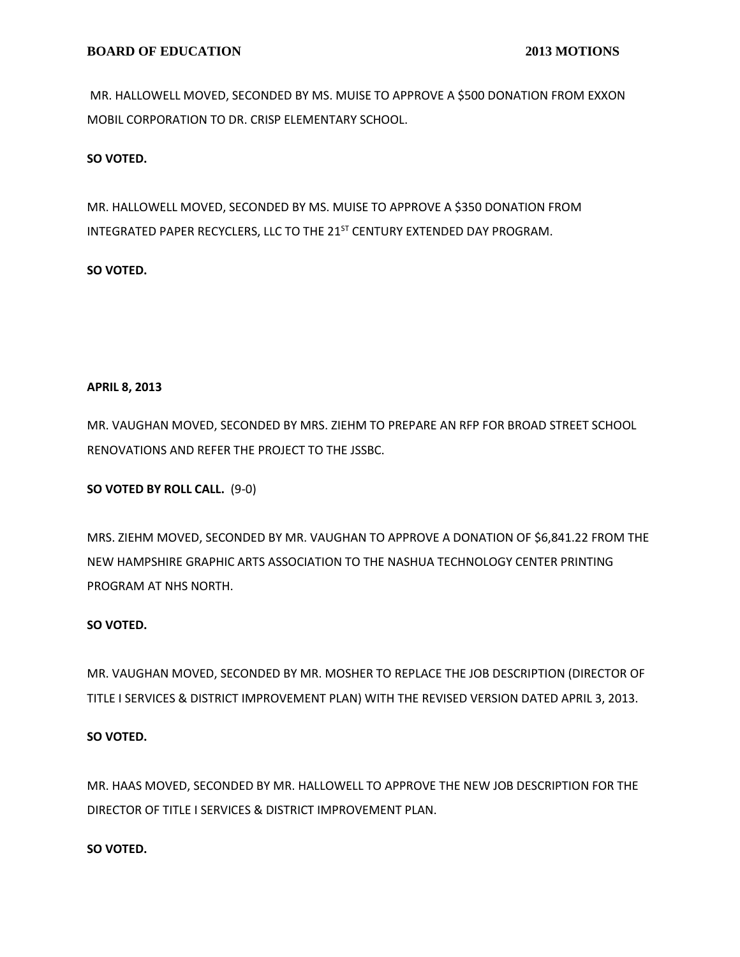MR. HALLOWELL MOVED, SECONDED BY MS. MUISE TO APPROVE A \$500 DONATION FROM EXXON MOBIL CORPORATION TO DR. CRISP ELEMENTARY SCHOOL.

# **SO VOTED.**

MR. HALLOWELL MOVED, SECONDED BY MS. MUISE TO APPROVE A \$350 DONATION FROM INTEGRATED PAPER RECYCLERS, LLC TO THE 21<sup>ST</sup> CENTURY EXTENDED DAY PROGRAM.

# **SO VOTED.**

# **APRIL 8, 2013**

MR. VAUGHAN MOVED, SECONDED BY MRS. ZIEHM TO PREPARE AN RFP FOR BROAD STREET SCHOOL RENOVATIONS AND REFER THE PROJECT TO THE JSSBC.

**SO VOTED BY ROLL CALL.** (9-0)

MRS. ZIEHM MOVED, SECONDED BY MR. VAUGHAN TO APPROVE A DONATION OF \$6,841.22 FROM THE NEW HAMPSHIRE GRAPHIC ARTS ASSOCIATION TO THE NASHUA TECHNOLOGY CENTER PRINTING PROGRAM AT NHS NORTH.

# **SO VOTED.**

MR. VAUGHAN MOVED, SECONDED BY MR. MOSHER TO REPLACE THE JOB DESCRIPTION (DIRECTOR OF TITLE I SERVICES & DISTRICT IMPROVEMENT PLAN) WITH THE REVISED VERSION DATED APRIL 3, 2013.

# **SO VOTED.**

MR. HAAS MOVED, SECONDED BY MR. HALLOWELL TO APPROVE THE NEW JOB DESCRIPTION FOR THE DIRECTOR OF TITLE I SERVICES & DISTRICT IMPROVEMENT PLAN.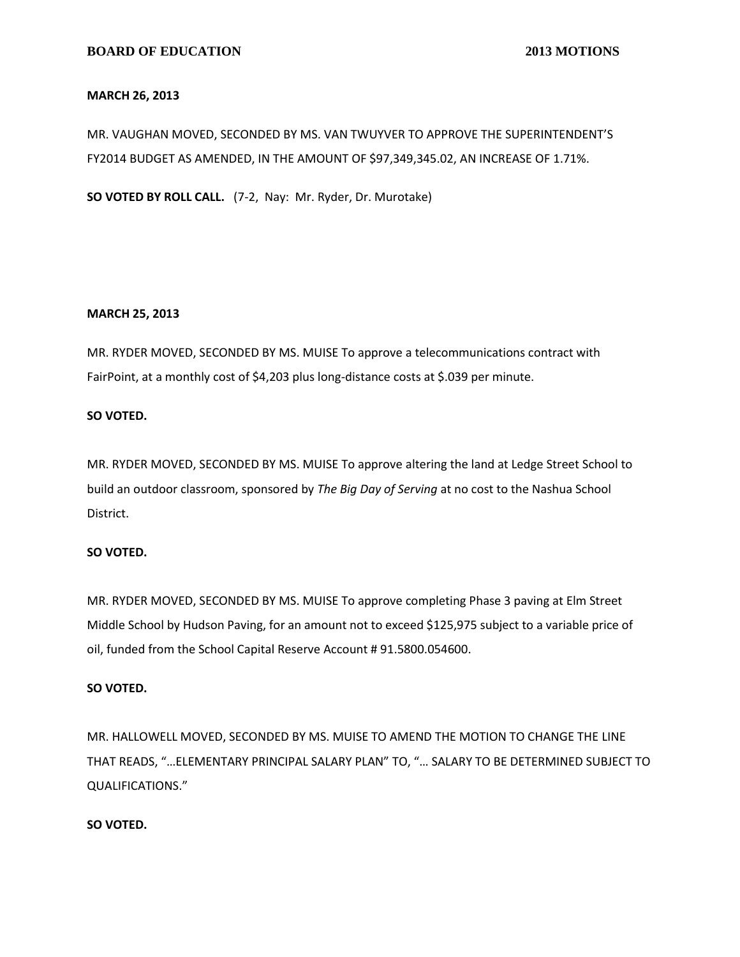### **MARCH 26, 2013**

MR. VAUGHAN MOVED, SECONDED BY MS. VAN TWUYVER TO APPROVE THE SUPERINTENDENT'S FY2014 BUDGET AS AMENDED, IN THE AMOUNT OF \$97,349,345.02, AN INCREASE OF 1.71%.

**SO VOTED BY ROLL CALL.** (7-2, Nay: Mr. Ryder, Dr. Murotake)

### **MARCH 25, 2013**

MR. RYDER MOVED, SECONDED BY MS. MUISE To approve a telecommunications contract with FairPoint, at a monthly cost of \$4,203 plus long-distance costs at \$.039 per minute.

### **SO VOTED.**

MR. RYDER MOVED, SECONDED BY MS. MUISE To approve altering the land at Ledge Street School to build an outdoor classroom, sponsored by *The Big Day of Serving* at no cost to the Nashua School District.

# **SO VOTED.**

MR. RYDER MOVED, SECONDED BY MS. MUISE To approve completing Phase 3 paving at Elm Street Middle School by Hudson Paving, for an amount not to exceed \$125,975 subject to a variable price of oil, funded from the School Capital Reserve Account # 91.5800.054600.

#### **SO VOTED.**

MR. HALLOWELL MOVED, SECONDED BY MS. MUISE TO AMEND THE MOTION TO CHANGE THE LINE THAT READS, "…ELEMENTARY PRINCIPAL SALARY PLAN" TO, "… SALARY TO BE DETERMINED SUBJECT TO QUALIFICATIONS."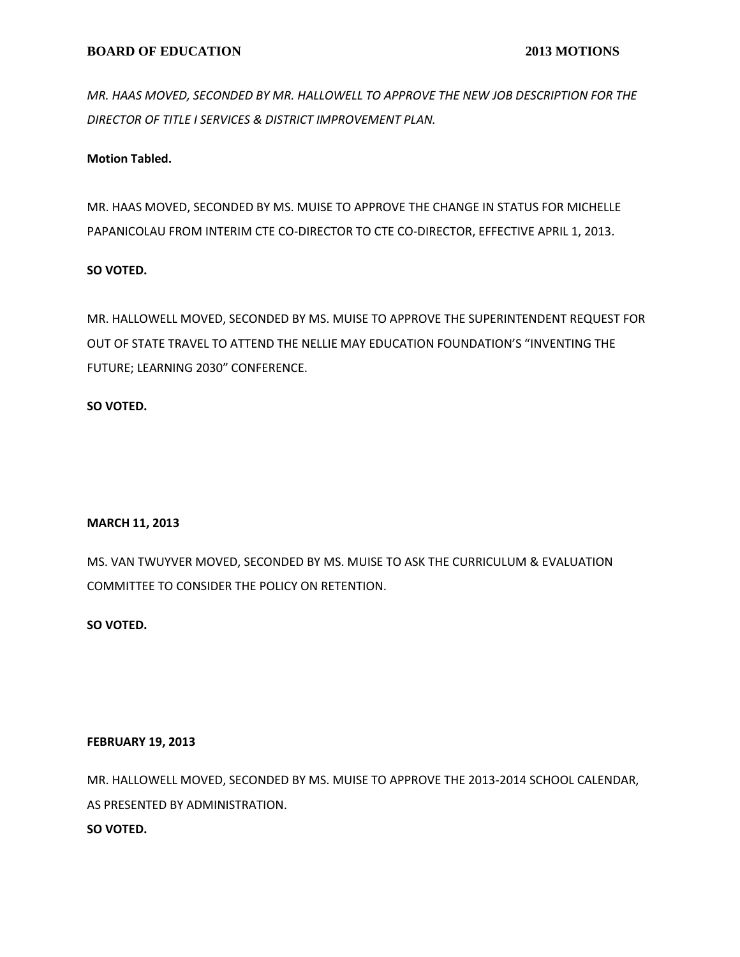*MR. HAAS MOVED, SECONDED BY MR. HALLOWELL TO APPROVE THE NEW JOB DESCRIPTION FOR THE DIRECTOR OF TITLE I SERVICES & DISTRICT IMPROVEMENT PLAN.*

# **Motion Tabled.**

MR. HAAS MOVED, SECONDED BY MS. MUISE TO APPROVE THE CHANGE IN STATUS FOR MICHELLE PAPANICOLAU FROM INTERIM CTE CO-DIRECTOR TO CTE CO-DIRECTOR, EFFECTIVE APRIL 1, 2013.

# **SO VOTED.**

MR. HALLOWELL MOVED, SECONDED BY MS. MUISE TO APPROVE THE SUPERINTENDENT REQUEST FOR OUT OF STATE TRAVEL TO ATTEND THE NELLIE MAY EDUCATION FOUNDATION'S "INVENTING THE FUTURE; LEARNING 2030" CONFERENCE.

# **SO VOTED.**

# **MARCH 11, 2013**

MS. VAN TWUYVER MOVED, SECONDED BY MS. MUISE TO ASK THE CURRICULUM & EVALUATION COMMITTEE TO CONSIDER THE POLICY ON RETENTION.

# **SO VOTED.**

# **FEBRUARY 19, 2013**

MR. HALLOWELL MOVED, SECONDED BY MS. MUISE TO APPROVE THE 2013-2014 SCHOOL CALENDAR, AS PRESENTED BY ADMINISTRATION.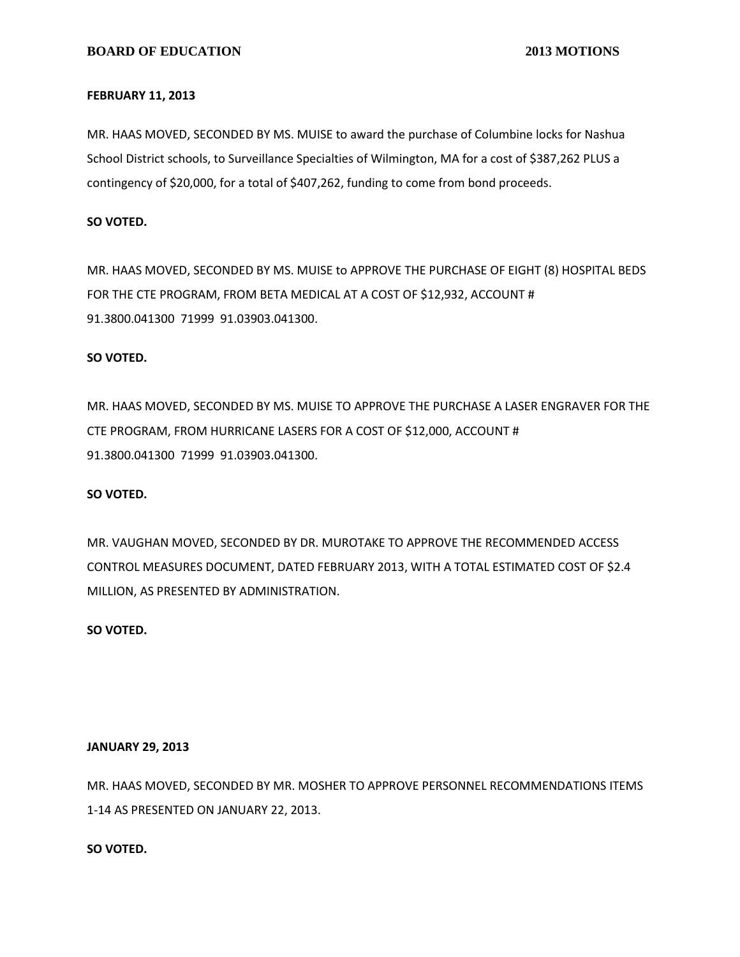#### **FEBRUARY 11, 2013**

MR. HAAS MOVED, SECONDED BY MS. MUISE to award the purchase of Columbine locks for Nashua School District schools, to Surveillance Specialties of Wilmington, MA for a cost of \$387,262 PLUS a contingency of \$20,000, for a total of \$407,262, funding to come from bond proceeds.

# **SO VOTED.**

MR. HAAS MOVED, SECONDED BY MS. MUISE to APPROVE THE PURCHASE OF EIGHT (8) HOSPITAL BEDS FOR THE CTE PROGRAM, FROM BETA MEDICAL AT A COST OF \$12,932, ACCOUNT # 91.3800.041300 71999 91.03903.041300.

# **SO VOTED.**

MR. HAAS MOVED, SECONDED BY MS. MUISE TO APPROVE THE PURCHASE A LASER ENGRAVER FOR THE CTE PROGRAM, FROM HURRICANE LASERS FOR A COST OF \$12,000, ACCOUNT # 91.3800.041300 71999 91.03903.041300.

# **SO VOTED.**

MR. VAUGHAN MOVED, SECONDED BY DR. MUROTAKE TO APPROVE THE RECOMMENDED ACCESS CONTROL MEASURES DOCUMENT, DATED FEBRUARY 2013, WITH A TOTAL ESTIMATED COST OF \$2.4 MILLION, AS PRESENTED BY ADMINISTRATION.

# **SO VOTED.**

# **JANUARY 29, 2013**

MR. HAAS MOVED, SECONDED BY MR. MOSHER TO APPROVE PERSONNEL RECOMMENDATIONS ITEMS 1-14 AS PRESENTED ON JANUARY 22, 2013.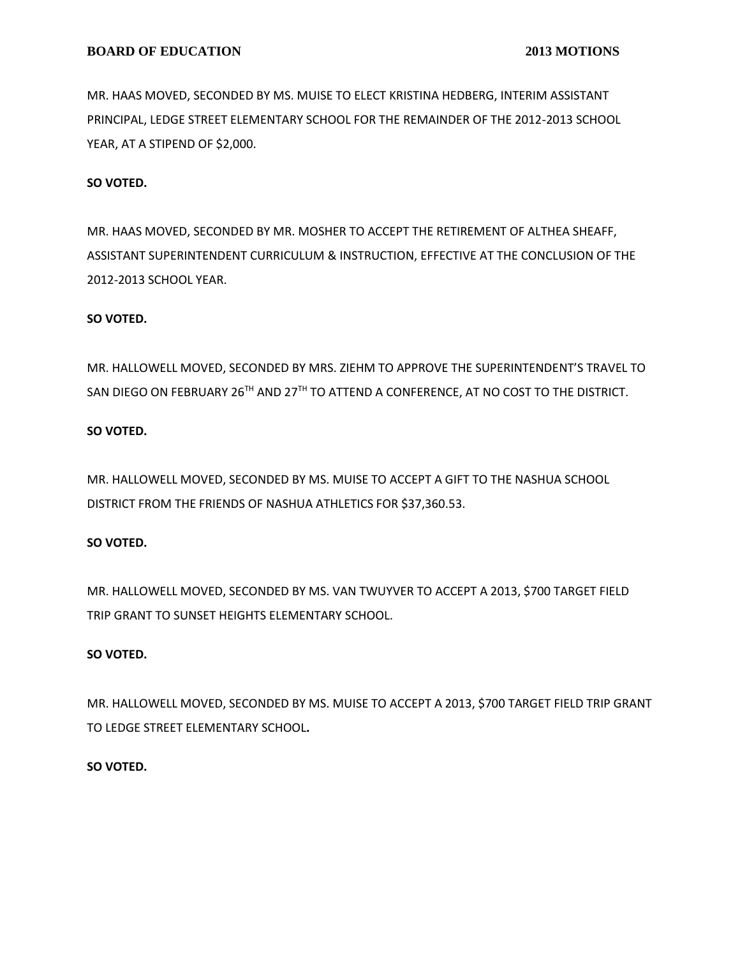MR. HAAS MOVED, SECONDED BY MS. MUISE TO ELECT KRISTINA HEDBERG, INTERIM ASSISTANT PRINCIPAL, LEDGE STREET ELEMENTARY SCHOOL FOR THE REMAINDER OF THE 2012-2013 SCHOOL YEAR, AT A STIPEND OF \$2,000.

# **SO VOTED.**

MR. HAAS MOVED, SECONDED BY MR. MOSHER TO ACCEPT THE RETIREMENT OF ALTHEA SHEAFF, ASSISTANT SUPERINTENDENT CURRICULUM & INSTRUCTION, EFFECTIVE AT THE CONCLUSION OF THE 2012-2013 SCHOOL YEAR.

# **SO VOTED.**

MR. HALLOWELL MOVED, SECONDED BY MRS. ZIEHM TO APPROVE THE SUPERINTENDENT'S TRAVEL TO SAN DIEGO ON FEBRUARY 26<sup>TH</sup> AND 27<sup>TH</sup> TO ATTEND A CONFERENCE, AT NO COST TO THE DISTRICT.

# **SO VOTED.**

MR. HALLOWELL MOVED, SECONDED BY MS. MUISE TO ACCEPT A GIFT TO THE NASHUA SCHOOL DISTRICT FROM THE FRIENDS OF NASHUA ATHLETICS FOR \$37,360.53.

# **SO VOTED.**

MR. HALLOWELL MOVED, SECONDED BY MS. VAN TWUYVER TO ACCEPT A 2013, \$700 TARGET FIELD TRIP GRANT TO SUNSET HEIGHTS ELEMENTARY SCHOOL.

# **SO VOTED.**

MR. HALLOWELL MOVED, SECONDED BY MS. MUISE TO ACCEPT A 2013, \$700 TARGET FIELD TRIP GRANT TO LEDGE STREET ELEMENTARY SCHOOL**.**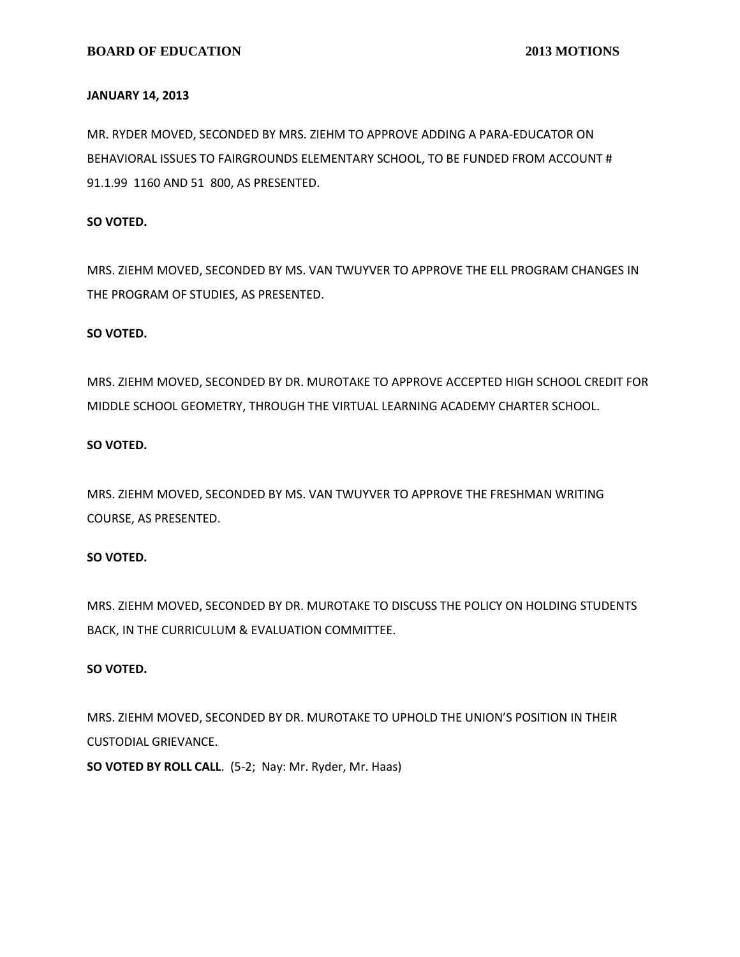### **JANUARY 14, 2013**

MR. RYDER MOVED, SECONDED BY MRS. ZIEHM TO APPROVE ADDING A PARA-EDUCATOR ON BEHAVIORAL ISSUES TO FAIRGROUNDS ELEMENTARY SCHOOL, TO BE FUNDED FROM ACCOUNT # 91.1.99 1160 AND 51 800, AS PRESENTED.

## **SO VOTED.**

MRS. ZIEHM MOVED, SECONDED BY MS. VAN TWUYVER TO APPROVE THE ELL PROGRAM CHANGES IN THE PROGRAM OF STUDIES, AS PRESENTED.

## **SO VOTED.**

MRS. ZIEHM MOVED, SECONDED BY DR. MUROTAKE TO APPROVE ACCEPTED HIGH SCHOOL CREDIT FOR MIDDLE SCHOOL GEOMETRY, THROUGH THE VIRTUAL LEARNING ACADEMY CHARTER SCHOOL.

# **SO VOTED.**

MRS. ZIEHM MOVED, SECONDED BY MS. VAN TWUYVER TO APPROVE THE FRESHMAN WRITING COURSE, AS PRESENTED.

# **SO VOTED.**

MRS. ZIEHM MOVED, SECONDED BY DR. MUROTAKE TO DISCUSS THE POLICY ON HOLDING STUDENTS BACK, IN THE CURRICULUM & EVALUATION COMMITTEE.

#### **SO VOTED.**

MRS. ZIEHM MOVED, SECONDED BY DR. MUROTAKE TO UPHOLD THE UNION'S POSITION IN THEIR CUSTODIAL GRIEVANCE.

**SO VOTED BY ROLL CALL**. (5-2; Nay: Mr. Ryder, Mr. Haas)